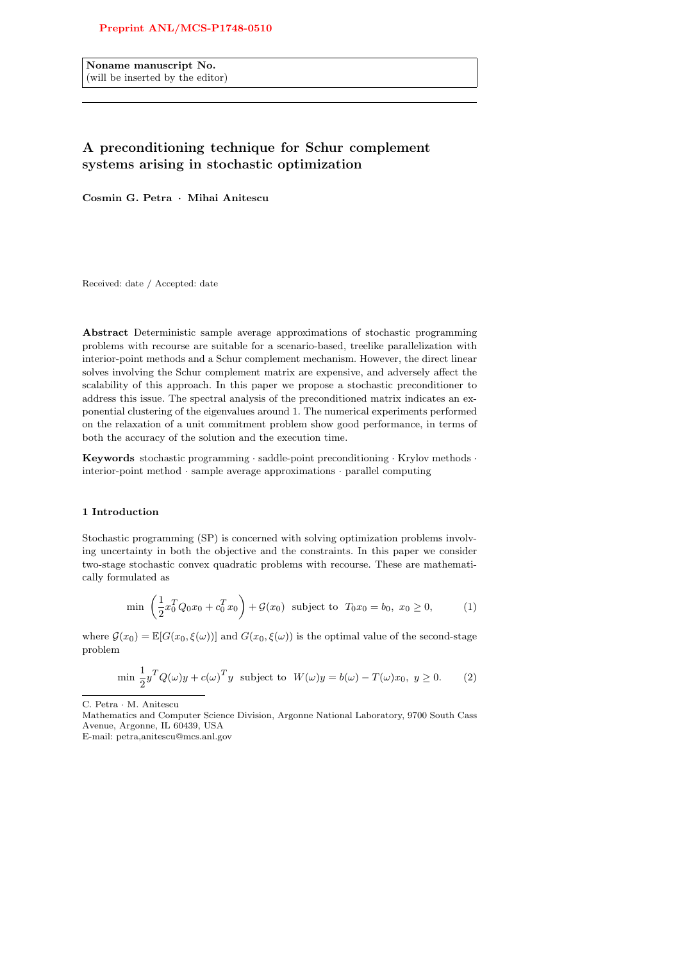Noname manuscript No. (will be inserted by the editor)

# A preconditioning technique for Schur complement systems arising in stochastic optimization

Cosmin G. Petra · Mihai Anitescu

Received: date / Accepted: date

Abstract Deterministic sample average approximations of stochastic programming problems with recourse are suitable for a scenario-based, treelike parallelization with interior-point methods and a Schur complement mechanism. However, the direct linear solves involving the Schur complement matrix are expensive, and adversely affect the scalability of this approach. In this paper we propose a stochastic preconditioner to address this issue. The spectral analysis of the preconditioned matrix indicates an exponential clustering of the eigenvalues around 1. The numerical experiments performed on the relaxation of a unit commitment problem show good performance, in terms of both the accuracy of the solution and the execution time.

Keywords stochastic programming · saddle-point preconditioning · Krylov methods · interior-point method · sample average approximations · parallel computing

# 1 Introduction

Stochastic programming (SP) is concerned with solving optimization problems involving uncertainty in both the objective and the constraints. In this paper we consider two-stage stochastic convex quadratic problems with recourse. These are mathematically formulated as

$$
\min\left(\frac{1}{2}x_0^T Q_0 x_0 + c_0^T x_0\right) + \mathcal{G}(x_0) \text{ subject to } T_0 x_0 = b_0, x_0 \ge 0,
$$
 (1)

where  $\mathcal{G}(x_0) = \mathbb{E}[G(x_0,\xi(\omega))]$  and  $G(x_0,\xi(\omega))$  is the optimal value of the second-stage problem

$$
\min \frac{1}{2} y^T Q(\omega) y + c(\omega)^T y \text{ subject to } W(\omega) y = b(\omega) - T(\omega) x_0, y \ge 0. \tag{2}
$$

C. Petra · M. Anitescu

Mathematics and Computer Science Division, Argonne National Laboratory, 9700 South Cass Avenue, Argonne, IL 60439, USA

E-mail: petra,anitescu@mcs.anl.gov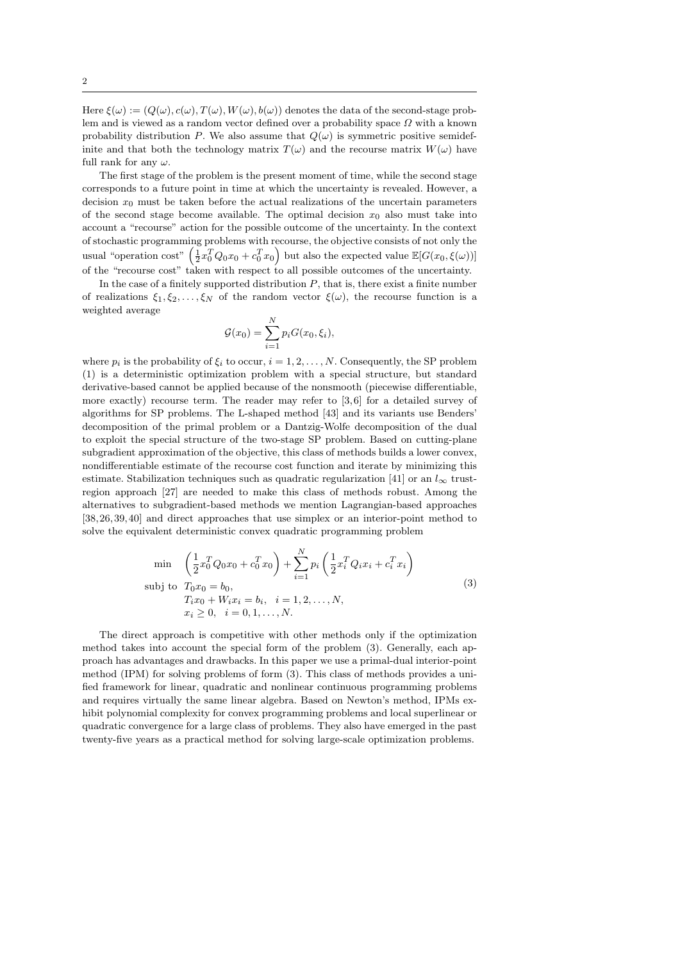Here  $\xi(\omega) := (Q(\omega), c(\omega), T(\omega), W(\omega), b(\omega))$  denotes the data of the second-stage problem and is viewed as a random vector defined over a probability space  $\Omega$  with a known probability distribution P. We also assume that  $Q(\omega)$  is symmetric positive semidefinite and that both the technology matrix  $T(\omega)$  and the recourse matrix  $W(\omega)$  have full rank for any  $\omega$ .

The first stage of the problem is the present moment of time, while the second stage corresponds to a future point in time at which the uncertainty is revealed. However, a decision  $x_0$  must be taken before the actual realizations of the uncertain parameters of the second stage become available. The optimal decision  $x_0$  also must take into account a "recourse" action for the possible outcome of the uncertainty. In the context of stochastic programming problems with recourse, the objective consists of not only the usual "operation cost"  $\left(\frac{1}{2}x_0^T Q_0 x_0 + c_0^T x_0\right)$  but also the expected value  $\mathbb{E}[G(x_0,\xi(\omega))]$ of the "recourse cost" taken with respect to all possible outcomes of the uncertainty.

In the case of a finitely supported distribution  $P$ , that is, there exist a finite number of realizations  $\xi_1, \xi_2, \ldots, \xi_N$  of the random vector  $\xi(\omega)$ , the recourse function is a weighted average

$$
\mathcal{G}(x_0) = \sum_{i=1}^N p_i G(x_0, \xi_i),
$$

where  $p_i$  is the probability of  $\xi_i$  to occur,  $i = 1, 2, ..., N$ . Consequently, the SP problem (1) is a deterministic optimization problem with a special structure, but standard derivative-based cannot be applied because of the nonsmooth (piecewise differentiable, more exactly) recourse term. The reader may refer to [3,6] for a detailed survey of algorithms for SP problems. The L-shaped method [43] and its variants use Benders' decomposition of the primal problem or a Dantzig-Wolfe decomposition of the dual to exploit the special structure of the two-stage SP problem. Based on cutting-plane subgradient approximation of the objective, this class of methods builds a lower convex, nondifferentiable estimate of the recourse cost function and iterate by minimizing this estimate. Stabilization techniques such as quadratic regularization [41] or an  $l_{\infty}$  trustregion approach [27] are needed to make this class of methods robust. Among the alternatives to subgradient-based methods we mention Lagrangian-based approaches [38, 26,39, 40] and direct approaches that use simplex or an interior-point method to solve the equivalent deterministic convex quadratic programming problem

$$
\min \left( \frac{1}{2} x_0^T Q_0 x_0 + c_0^T x_0 \right) + \sum_{i=1}^N p_i \left( \frac{1}{2} x_i^T Q_i x_i + c_i^T x_i \right)
$$
\n
$$
\text{subj to } T_0 x_0 = b_0,
$$
\n
$$
T_i x_0 + W_i x_i = b_i, \quad i = 1, 2, \dots, N,
$$
\n
$$
x_i \ge 0, \quad i = 0, 1, \dots, N.
$$
\n(3)

The direct approach is competitive with other methods only if the optimization method takes into account the special form of the problem (3). Generally, each approach has advantages and drawbacks. In this paper we use a primal-dual interior-point method (IPM) for solving problems of form (3). This class of methods provides a unified framework for linear, quadratic and nonlinear continuous programming problems and requires virtually the same linear algebra. Based on Newton's method, IPMs exhibit polynomial complexity for convex programming problems and local superlinear or quadratic convergence for a large class of problems. They also have emerged in the past twenty-five years as a practical method for solving large-scale optimization problems.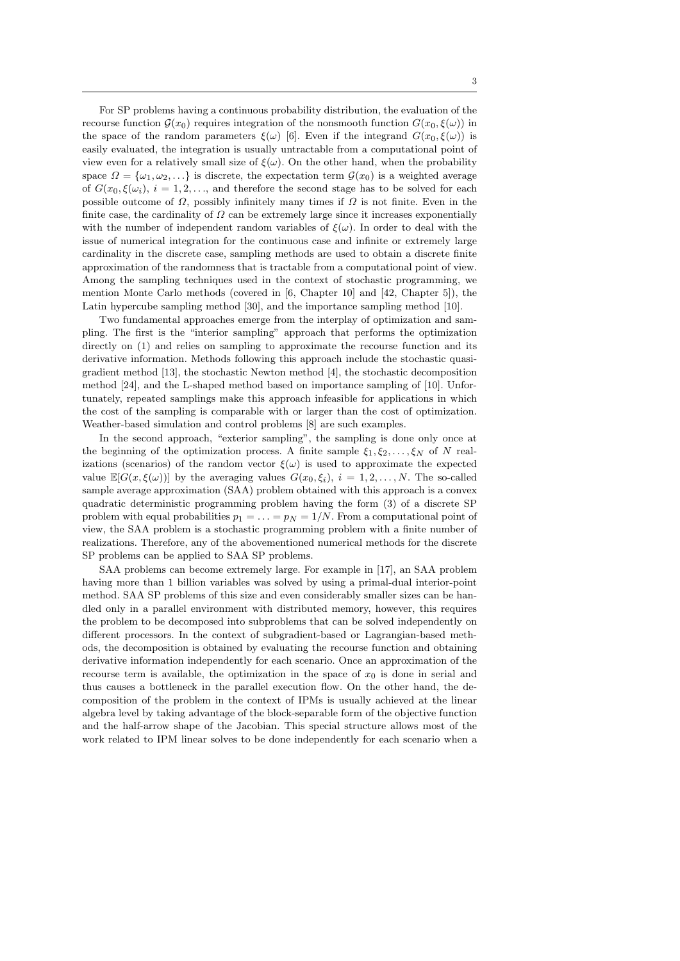For SP problems having a continuous probability distribution, the evaluation of the recourse function  $\mathcal{G}(x_0)$  requires integration of the nonsmooth function  $G(x_0, \xi(\omega))$  in the space of the random parameters  $\xi(\omega)$  [6]. Even if the integrand  $G(x_0, \xi(\omega))$  is easily evaluated, the integration is usually untractable from a computational point of view even for a relatively small size of  $\xi(\omega)$ . On the other hand, when the probability space  $\Omega = {\omega_1, \omega_2, \ldots}$  is discrete, the expectation term  $\mathcal{G}(x_0)$  is a weighted average of  $G(x_0, \xi(\omega_i), i = 1, 2, \ldots,$  and therefore the second stage has to be solved for each possible outcome of  $\Omega$ , possibly infinitely many times if  $\Omega$  is not finite. Even in the finite case, the cardinality of  $\Omega$  can be extremely large since it increases exponentially with the number of independent random variables of  $\xi(\omega)$ . In order to deal with the issue of numerical integration for the continuous case and infinite or extremely large cardinality in the discrete case, sampling methods are used to obtain a discrete finite approximation of the randomness that is tractable from a computational point of view. Among the sampling techniques used in the context of stochastic programming, we mention Monte Carlo methods (covered in [6, Chapter 10] and [42, Chapter 5]), the Latin hypercube sampling method [30], and the importance sampling method [10].

Two fundamental approaches emerge from the interplay of optimization and sampling. The first is the "interior sampling" approach that performs the optimization directly on (1) and relies on sampling to approximate the recourse function and its derivative information. Methods following this approach include the stochastic quasigradient method [13], the stochastic Newton method [4], the stochastic decomposition method [24], and the L-shaped method based on importance sampling of [10]. Unfortunately, repeated samplings make this approach infeasible for applications in which the cost of the sampling is comparable with or larger than the cost of optimization. Weather-based simulation and control problems [8] are such examples.

In the second approach, "exterior sampling", the sampling is done only once at the beginning of the optimization process. A finite sample  $\xi_1, \xi_2, \ldots, \xi_N$  of N realizations (scenarios) of the random vector  $\xi(\omega)$  is used to approximate the expected value  $\mathbb{E}[G(x,\xi(\omega))]$  by the averaging values  $G(x_0,\xi_i), i = 1,2,\ldots,N$ . The so-called sample average approximation (SAA) problem obtained with this approach is a convex quadratic deterministic programming problem having the form (3) of a discrete SP problem with equal probabilities  $p_1 = \ldots = p_N = 1/N$ . From a computational point of view, the SAA problem is a stochastic programming problem with a finite number of realizations. Therefore, any of the abovementioned numerical methods for the discrete SP problems can be applied to SAA SP problems.

SAA problems can become extremely large. For example in [17], an SAA problem having more than 1 billion variables was solved by using a primal-dual interior-point method. SAA SP problems of this size and even considerably smaller sizes can be handled only in a parallel environment with distributed memory, however, this requires the problem to be decomposed into subproblems that can be solved independently on different processors. In the context of subgradient-based or Lagrangian-based methods, the decomposition is obtained by evaluating the recourse function and obtaining derivative information independently for each scenario. Once an approximation of the recourse term is available, the optimization in the space of  $x_0$  is done in serial and thus causes a bottleneck in the parallel execution flow. On the other hand, the decomposition of the problem in the context of IPMs is usually achieved at the linear algebra level by taking advantage of the block-separable form of the objective function and the half-arrow shape of the Jacobian. This special structure allows most of the work related to IPM linear solves to be done independently for each scenario when a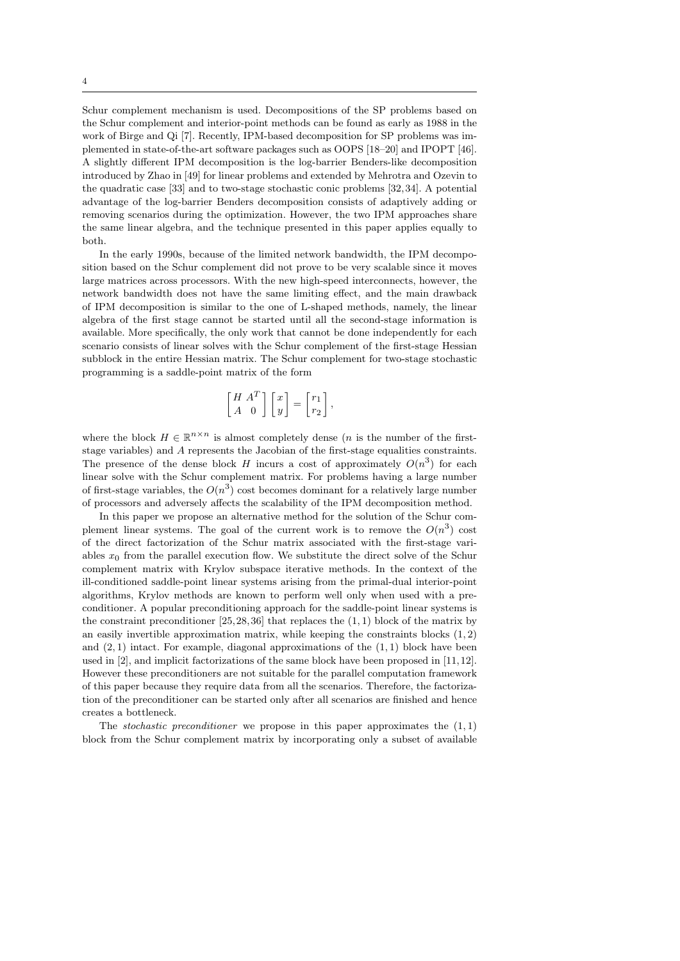Schur complement mechanism is used. Decompositions of the SP problems based on the Schur complement and interior-point methods can be found as early as 1988 in the work of Birge and Qi [7]. Recently, IPM-based decomposition for SP problems was implemented in state-of-the-art software packages such as OOPS [18–20] and IPOPT [46]. A slightly different IPM decomposition is the log-barrier Benders-like decomposition introduced by Zhao in [49] for linear problems and extended by Mehrotra and Ozevin to the quadratic case [33] and to two-stage stochastic conic problems [32, 34]. A potential advantage of the log-barrier Benders decomposition consists of adaptively adding or removing scenarios during the optimization. However, the two IPM approaches share the same linear algebra, and the technique presented in this paper applies equally to both.

In the early 1990s, because of the limited network bandwidth, the IPM decomposition based on the Schur complement did not prove to be very scalable since it moves large matrices across processors. With the new high-speed interconnects, however, the network bandwidth does not have the same limiting effect, and the main drawback of IPM decomposition is similar to the one of L-shaped methods, namely, the linear algebra of the first stage cannot be started until all the second-stage information is available. More specifically, the only work that cannot be done independently for each scenario consists of linear solves with the Schur complement of the first-stage Hessian subblock in the entire Hessian matrix. The Schur complement for two-stage stochastic programming is a saddle-point matrix of the form

$$
\begin{bmatrix} H & A^T \\ A & 0 \end{bmatrix} \begin{bmatrix} x \\ y \end{bmatrix} = \begin{bmatrix} r_1 \\ r_2 \end{bmatrix},
$$

where the block  $H \in \mathbb{R}^{n \times n}$  is almost completely dense (*n* is the number of the firststage variables) and A represents the Jacobian of the first-stage equalities constraints. The presence of the dense block H incurs a cost of approximately  $O(n^3)$  for each linear solve with the Schur complement matrix. For problems having a large number of first-stage variables, the  $O(n^3)$  cost becomes dominant for a relatively large number of processors and adversely affects the scalability of the IPM decomposition method.

In this paper we propose an alternative method for the solution of the Schur complement linear systems. The goal of the current work is to remove the  $O(n^3)$  cost of the direct factorization of the Schur matrix associated with the first-stage variables  $x_0$  from the parallel execution flow. We substitute the direct solve of the Schur complement matrix with Krylov subspace iterative methods. In the context of the ill-conditioned saddle-point linear systems arising from the primal-dual interior-point algorithms, Krylov methods are known to perform well only when used with a preconditioner. A popular preconditioning approach for the saddle-point linear systems is the constraint preconditioner  $[25, 28, 36]$  that replaces the  $(1, 1)$  block of the matrix by an easily invertible approximation matrix, while keeping the constraints blocks  $(1, 2)$ and  $(2, 1)$  intact. For example, diagonal approximations of the  $(1, 1)$  block have been used in  $[2]$ , and implicit factorizations of the same block have been proposed in  $[11,12]$ . However these preconditioners are not suitable for the parallel computation framework of this paper because they require data from all the scenarios. Therefore, the factorization of the preconditioner can be started only after all scenarios are finished and hence creates a bottleneck.

The *stochastic preconditioner* we propose in this paper approximates the  $(1, 1)$ block from the Schur complement matrix by incorporating only a subset of available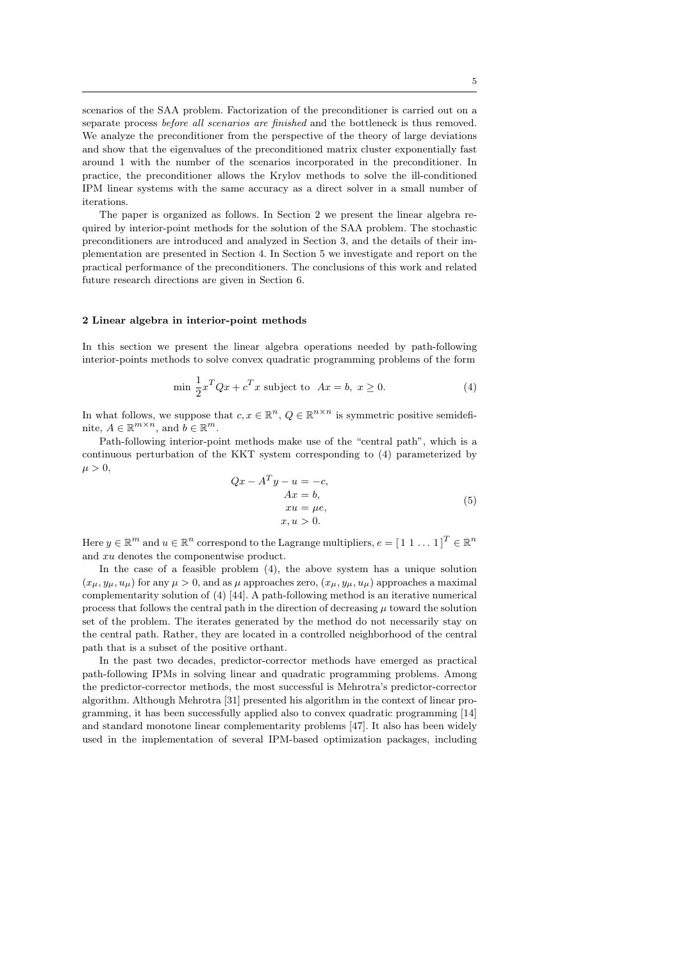scenarios of the SAA problem. Factorization of the preconditioner is carried out on a separate process before all scenarios are finished and the bottleneck is thus removed. We analyze the preconditioner from the perspective of the theory of large deviations and show that the eigenvalues of the preconditioned matrix cluster exponentially fast around 1 with the number of the scenarios incorporated in the preconditioner. In practice, the preconditioner allows the Krylov methods to solve the ill-conditioned IPM linear systems with the same accuracy as a direct solver in a small number of iterations.

The paper is organized as follows. In Section 2 we present the linear algebra required by interior-point methods for the solution of the SAA problem. The stochastic preconditioners are introduced and analyzed in Section 3, and the details of their implementation are presented in Section 4. In Section 5 we investigate and report on the practical performance of the preconditioners. The conclusions of this work and related future research directions are given in Section 6.

# 2 Linear algebra in interior-point methods

In this section we present the linear algebra operations needed by path-following interior-points methods to solve convex quadratic programming problems of the form

$$
\min \frac{1}{2}x^T Q x + c^T x \text{ subject to } Ax = b, x \ge 0. \tag{4}
$$

In what follows, we suppose that  $c, x \in \mathbb{R}^n$ ,  $Q \in \mathbb{R}^{n \times n}$  is symmetric positive semidefinite,  $A \in \mathbb{R}^{m \times n}$ , and  $b \in \mathbb{R}^m$ .

Path-following interior-point methods make use of the "central path", which is a continuous perturbation of the KKT system corresponding to (4) parameterized by  $\mu > 0$ .

$$
Qx - ATy - u = -c,
$$
  
\n
$$
Ax = b,
$$
  
\n
$$
xu = \mu e,
$$
  
\n
$$
x, u > 0.
$$
\n(5)

Here  $y \in \mathbb{R}^m$  and  $u \in \mathbb{R}^n$  correspond to the Lagrange multipliers,  $e = [1 \ 1 \dots 1]^T \in \mathbb{R}^n$ and xu denotes the componentwise product.

In the case of a feasible problem (4), the above system has a unique solution  $(x_{\mu}, y_{\mu}, u_{\mu})$  for any  $\mu > 0$ , and as  $\mu$  approaches zero,  $(x_{\mu}, y_{\mu}, u_{\mu})$  approaches a maximal complementarity solution of (4) [44]. A path-following method is an iterative numerical process that follows the central path in the direction of decreasing  $\mu$  toward the solution set of the problem. The iterates generated by the method do not necessarily stay on the central path. Rather, they are located in a controlled neighborhood of the central path that is a subset of the positive orthant.

In the past two decades, predictor-corrector methods have emerged as practical path-following IPMs in solving linear and quadratic programming problems. Among the predictor-corrector methods, the most successful is Mehrotra's predictor-corrector algorithm. Although Mehrotra [31] presented his algorithm in the context of linear programming, it has been successfully applied also to convex quadratic programming [14] and standard monotone linear complementarity problems [47]. It also has been widely used in the implementation of several IPM-based optimization packages, including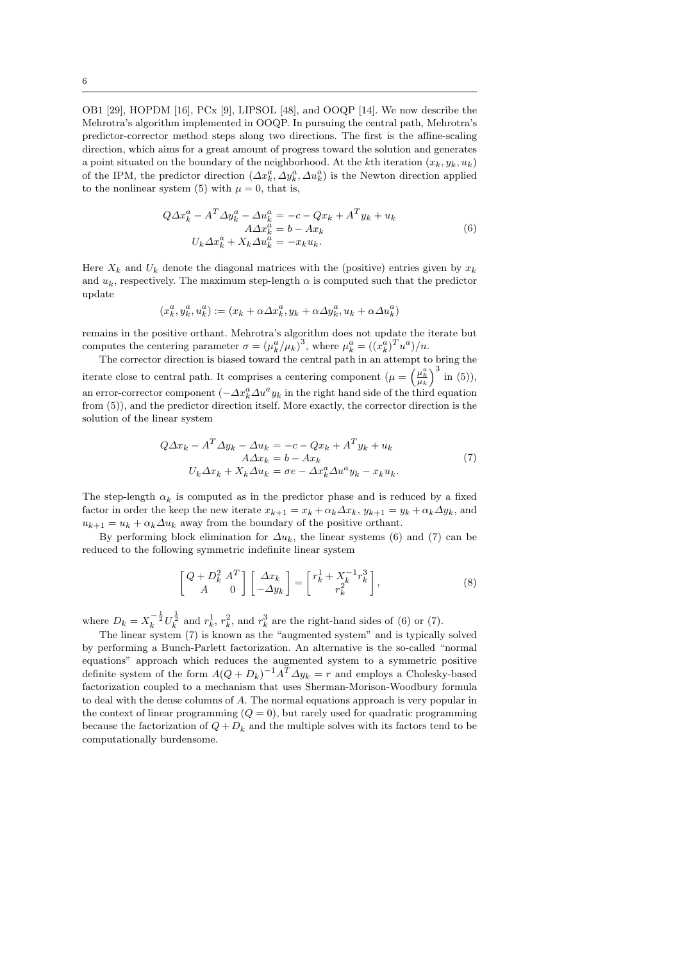OB1 [29], HOPDM [16], PCx [9], LIPSOL [48], and OOQP [14]. We now describe the Mehrotra's algorithm implemented in OOQP. In pursuing the central path, Mehrotra's predictor-corrector method steps along two directions. The first is the affine-scaling direction, which aims for a great amount of progress toward the solution and generates a point situated on the boundary of the neighborhood. At the kth iteration  $(x_k, y_k, u_k)$ of the IPM, the predictor direction  $(\Delta x_k^a, \Delta y_k^a, \Delta u_k^a)$  is the Newton direction applied to the nonlinear system (5) with  $\mu = 0$ , that is,

$$
Q\Delta x_k^a - A^T \Delta y_k^a - \Delta u_k^a = -c - Qx_k + A^T y_k + u_k
$$
  
\n
$$
A\Delta x_k^a = b - Ax_k
$$
  
\n
$$
U_k \Delta x_k^a + X_k \Delta u_k^a = -x_k u_k.
$$
\n(6)

Here  $X_k$  and  $U_k$  denote the diagonal matrices with the (positive) entries given by  $x_k$ and  $u_k$ , respectively. The maximum step-length  $\alpha$  is computed such that the predictor update

$$
(x_k^a, y_k^a, u_k^a) := (x_k + \alpha \Delta x_k^a, y_k + \alpha \Delta y_k^a, u_k + \alpha \Delta u_k^a)
$$

remains in the positive orthant. Mehrotra's algorithm does not update the iterate but computes the centering parameter  $\sigma = (\mu_k^a/\mu_k)^3$ , where  $\mu_k^a = ((x_k^a)^T u^a)/n$ .

The corrector direction is biased toward the central path in an attempt to bring the iterate close to central path. It comprises a centering component  $(\mu = \left(\frac{\mu_k^a}{\mu_k}\right)^3$  in (5)), an error-corrector component  $(-\Delta x_k^a \Delta u^a y_k)$  in the right hand side of the third equation from (5)), and the predictor direction itself. More exactly, the corrector direction is the solution of the linear system

$$
Q\Delta x_k - A^T \Delta y_k - \Delta u_k = -c - Qx_k + A^T y_k + u_k
$$
  
\n
$$
A\Delta x_k = b - Ax_k
$$
  
\n
$$
U_k \Delta x_k + X_k \Delta u_k = \sigma e - \Delta x_k^a \Delta u^a y_k - x_k u_k.
$$
\n(7)

The step-length  $\alpha_k$  is computed as in the predictor phase and is reduced by a fixed factor in order the keep the new iterate  $x_{k+1} = x_k + \alpha_k \Delta x_k$ ,  $y_{k+1} = y_k + \alpha_k \Delta y_k$ , and  $u_{k+1} = u_k + \alpha_k \Delta u_k$  away from the boundary of the positive orthant.

By performing block elimination for  $\Delta u_k$ , the linear systems (6) and (7) can be reduced to the following symmetric indefinite linear system

$$
\begin{bmatrix} Q + D_k^2 A^T \ A & 0 \end{bmatrix} \begin{bmatrix} \Delta x_k \\ -\Delta y_k \end{bmatrix} = \begin{bmatrix} r_k^1 + X_k^{-1} r_k^3 \\ r_k^2 \end{bmatrix},
$$
 (8)

where  $D_k = X_k^{-\frac{1}{2}} U_k^{\frac{1}{2}}$  and  $r_k^1$ ,  $r_k^2$ , and  $r_k^3$  are the right-hand sides of (6) or (7).

The linear system (7) is known as the "augmented system" and is typically solved by performing a Bunch-Parlett factorization. An alternative is the so-called "normal equations" approach which reduces the augmented system to a symmetric positive definite system of the form  $A(Q + D_k)^{-1}A^T \Delta y_k = r$  and employs a Cholesky-based factorization coupled to a mechanism that uses Sherman-Morison-Woodbury formula to deal with the dense columns of A. The normal equations approach is very popular in the context of linear programming  $(Q = 0)$ , but rarely used for quadratic programming because the factorization of  $Q + D_k$  and the multiple solves with its factors tend to be computationally burdensome.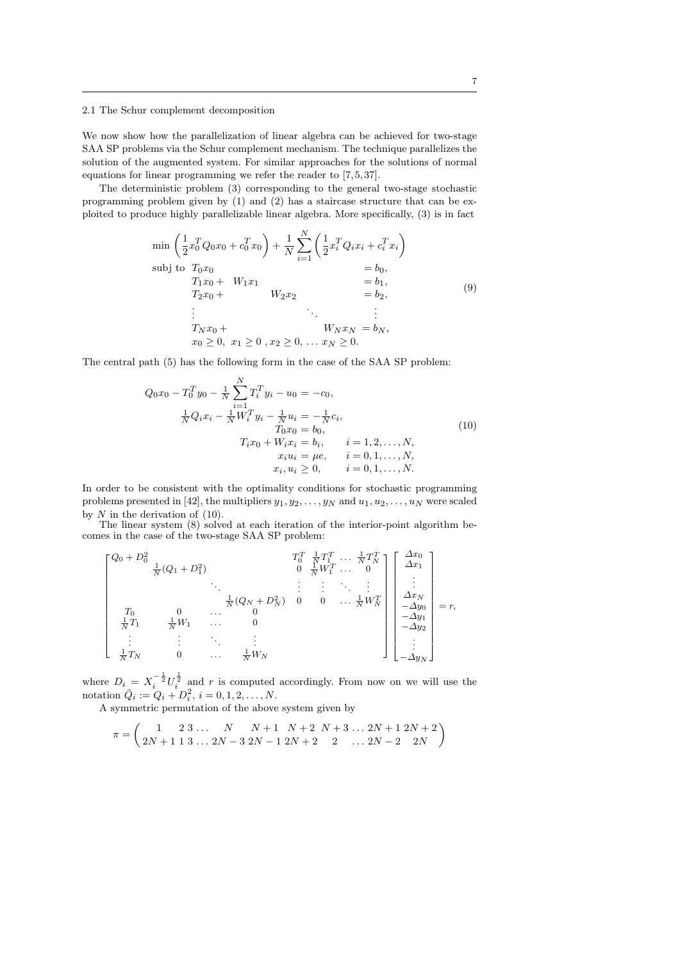2.1 The Schur complement decomposition

We now show how the parallelization of linear algebra can be achieved for two-stage SAA SP problems via the Schur complement mechanism. The technique parallelizes the solution of the augmented system. For similar approaches for the solutions of normal equations for linear programming we refer the reader to [7, 5, 37].

The deterministic problem (3) corresponding to the general two-stage stochastic programming problem given by (1) and (2) has a staircase structure that can be exploited to produce highly parallelizable linear algebra. More specifically, (3) is in fact

$$
\min \left( \frac{1}{2} x_0^T Q_0 x_0 + c_0^T x_0 \right) + \frac{1}{N} \sum_{i=1}^N \left( \frac{1}{2} x_i^T Q_i x_i + c_i^T x_i \right)
$$
\n
$$
\text{subj to } T_0 x_0 = b_0,
$$
\n
$$
T_1 x_0 + W_1 x_1 = b_1,
$$
\n
$$
T_2 x_0 + W_2 x_2 = b_2,
$$
\n
$$
\vdots
$$
\n
$$
T_N x_0 + W_N x_N = b_N,
$$
\n
$$
x_0 \ge 0, x_1 \ge 0, x_2 \ge 0, \dots x_N \ge 0.
$$
\n(9)

The central path (5) has the following form in the case of the SAA SP problem:

$$
Q_0x_0 - T_0^T y_0 - \frac{1}{N} \sum_{i=1}^N T_i^T y_i - u_0 = -c_0,
$$
  
\n
$$
\frac{1}{N} Q_i x_i - \frac{1}{N} W_i^T y_i - \frac{1}{N} u_i = -\frac{1}{N} c_i,
$$
  
\n
$$
T_0x_0 = b_0,
$$
  
\n
$$
T_i x_0 + W_i x_i = b_i, \qquad i = 1, 2, ..., N,
$$
  
\n
$$
x_i u_i = \mu e, \qquad i = 0, 1, ..., N,
$$
  
\n
$$
x_i, u_i \ge 0, \qquad i = 0, 1, ..., N.
$$
\n(10)

In order to be consistent with the optimality conditions for stochastic programming problems presented in [42], the multipliers  $y_1, y_2, \ldots, y_N$  and  $u_1, u_2, \ldots, u_N$  were scaled by  $N$  in the derivation of  $(10)$ .

The linear system (8) solved at each iteration of the interior-point algorithm becomes in the case of the two-stage SAA SP problem:

$$
\begin{bmatrix}\nQ_0 + D_0^2 & T_0^T & \frac{1}{N} T_1^T & \cdots & \frac{1}{N} T_N^T \\
\frac{1}{N} (Q_1 + D_1^2) & 0 & \frac{1}{N} W_1^T & \cdots & 0 \\
& \ddots & \ddots & \ddots & \vdots \\
T_0 & 0 & \cdots & 0 & \cdots & \frac{1}{N} W_N^T \\
\frac{1}{N} T_1 & \frac{1}{N} W_1 & \cdots & 0 & 0 & \cdots & \frac{1}{N} W_N^T \\
\vdots & \vdots & \ddots & \ddots & \vdots & \ddots \\
\frac{1}{N} T_N & 0 & \cdots & \frac{1}{N} W_N & & & \n\end{bmatrix}\n\begin{bmatrix}\n\Delta x_0 \\
\Delta x_1 \\
\vdots \\
\Delta x_N \\
-\Delta y_0 \\
-\Delta y_1 \\
-\Delta y_N\n\end{bmatrix} = r,
$$

where  $D_i = X_i^{-\frac{1}{2}} U_i^{\frac{1}{2}}$  and r is computed accordingly. From now on we will use the notation  $\bar{Q}_i := Q_i + D_i^2, i = 0, 1, 2, ..., N$ .

A symmetric permutation of the above system given by

$$
\pi = \begin{pmatrix} 1 & 2 & 3 & \dots & N & N+1 & N+2 & N+3 & \dots & 2N+1 & 2N+2 \\ 2N+1 & 1 & 3 & \dots & 2N-3 & 2N-1 & 2N+2 & 2 & \dots & 2N-2 & 2N \end{pmatrix}
$$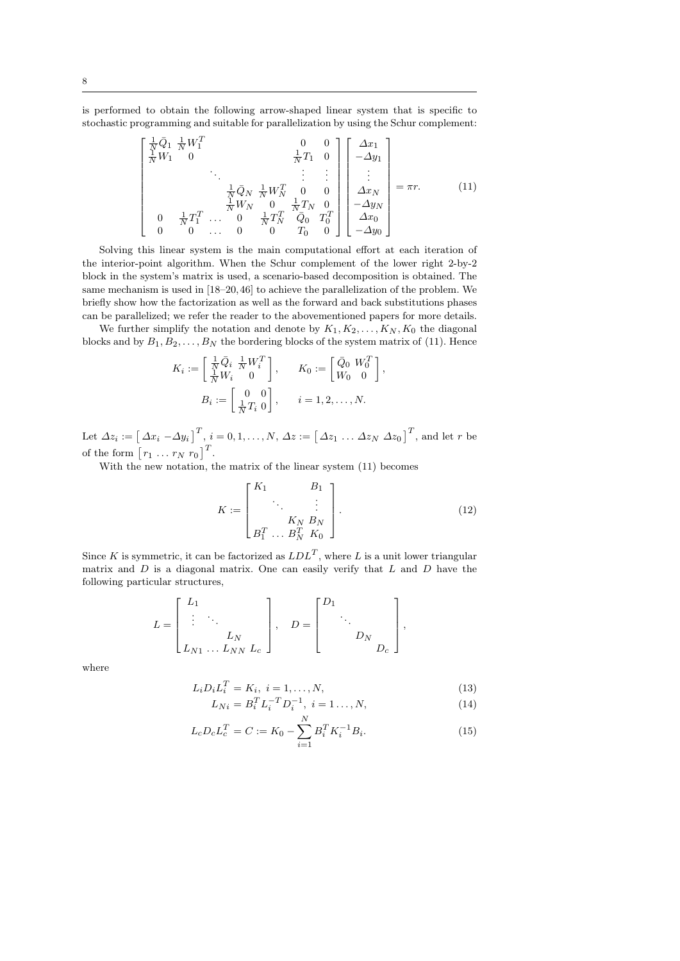is performed to obtain the following arrow-shaped linear system that is specific to stochastic programming and suitable for parallelization by using the Schur complement:

$$
\begin{bmatrix}\n\frac{1}{N}\bar{Q}_{1} & \frac{1}{N}W_{1}^{T} & 0 & 0 \\
\frac{1}{N}W_{1} & 0 & \frac{1}{N}T_{1} & 0 \\
& \ddots & \vdots & \vdots \\
& & \frac{1}{N}\bar{Q}_{N} & \frac{1}{N}W_{N}^{T} & 0 & 0 \\
& & & \frac{1}{N}W_{N} & 0 & \frac{1}{N}T_{N} & 0 \\
0 & \frac{1}{N}T_{1}^{T} & \cdots & 0 & \frac{1}{N}T_{N}^{T} & \bar{Q}_{0} & T_{0}^{T} \\
0 & 0 & \cdots & 0 & 0 & T_{0} & 0\n\end{bmatrix}\n\begin{bmatrix}\n\Delta x_{1} \\
-\Delta y_{1} \\
\vdots \\
\Delta x_{N} \\
-\Delta y_{N} \\
-\Delta y_{0} \\
-\Delta y_{0}\n\end{bmatrix} = \pi r.
$$
\n(11)

Solving this linear system is the main computational effort at each iteration of the interior-point algorithm. When the Schur complement of the lower right 2-by-2 block in the system's matrix is used, a scenario-based decomposition is obtained. The same mechanism is used in [18–20, 46] to achieve the parallelization of the problem. We briefly show how the factorization as well as the forward and back substitutions phases can be parallelized; we refer the reader to the abovementioned papers for more details.

We further simplify the notation and denote by  $K_1, K_2, \ldots, K_N, K_0$  the diagonal blocks and by  $B_1, B_2, \ldots, B_N$  the bordering blocks of the system matrix of (11). Hence

$$
K_i := \begin{bmatrix} \frac{1}{N} \bar{Q}_i & \frac{1}{N} W_i^T \\ \frac{1}{N} W_i & 0 \end{bmatrix}, \qquad K_0 := \begin{bmatrix} \bar{Q}_0 & W_0^T \\ W_0 & 0 \end{bmatrix},
$$
  

$$
B_i := \begin{bmatrix} 0 & 0 \\ \frac{1}{N} T_i & 0 \end{bmatrix}, \qquad i = 1, 2, ..., N.
$$

Let  $\Delta z_i := \begin{bmatrix} \Delta x_i - \Delta y_i \end{bmatrix}^T$ ,  $i = 0, 1, ..., N$ ,  $\Delta z := \begin{bmatrix} \Delta z_1 ... \Delta z_N \end{bmatrix}^T$ , and let r be of the form  $[r_1 \ldots r_N \ r_0]^T$ .

With the new notation, the matrix of the linear system (11) becomes

$$
K := \begin{bmatrix} K_1 & B_1 \\ \ddots & \vdots \\ K_N & B_N \\ B_1^T & \dots & B_N^T & K_0 \end{bmatrix} . \tag{12}
$$

Since K is symmetric, it can be factorized as  $LDL<sup>T</sup>$ , where L is a unit lower triangular matrix and  $D$  is a diagonal matrix. One can easily verify that  $L$  and  $D$  have the following particular structures,

$$
L = \begin{bmatrix} L_1 & & \\ \vdots & \ddots & \\ & & L_N & \\ L_{N1} & \ldots & L_{NN} & L_c \end{bmatrix}, \quad D = \begin{bmatrix} D_1 & & \\ & \ddots & \\ & & D_N & \\ & & & D_c \end{bmatrix},
$$

where

$$
L_i D_i L_i^T = K_i, \ i = 1, \dots, N,
$$
\n(13)

$$
L_{Ni} = B_i^T L_i^{-T} D_i^{-1}, \ i = 1..., N,
$$
\n(14)

$$
L_c D_c L_c^T = C := K_0 - \sum_{i=1}^N B_i^T K_i^{-1} B_i.
$$
 (15)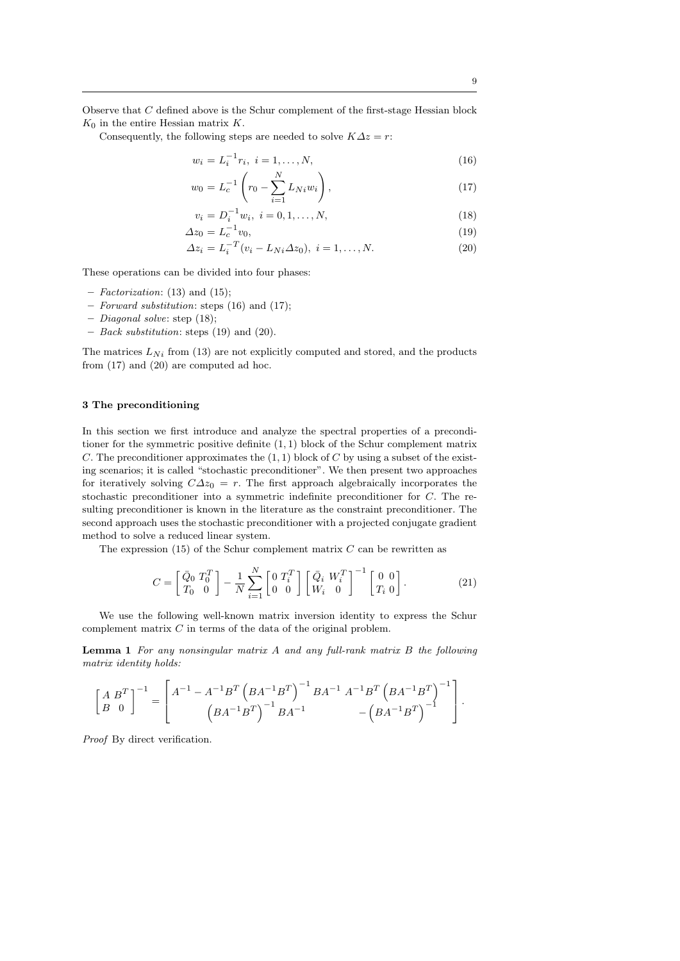Observe that C defined above is the Schur complement of the first-stage Hessian block  $K_0$  in the entire Hessian matrix K.

Consequently, the following steps are needed to solve  $K\Delta z = r$ :

$$
w_i = L_i^{-1} r_i, \ i = 1, \dots, N,
$$
\n(16)

$$
w_0 = L_c^{-1} \left( r_0 - \sum_{i=1}^N L_{Ni} w_i \right), \tag{17}
$$

$$
v_i = D_i^{-1} w_i, \ i = 0, 1, \dots, N,
$$
\n(18)

$$
\Delta z_0 = L_c^{-1} v_0,\tag{19}
$$

$$
\Delta z_i = L_i^{-T} (v_i - L_{Ni} \Delta z_0), \ i = 1, ..., N.
$$
 (20)

These operations can be divided into four phases:

- Factorization: (13) and (15);
- Forward substitution: steps (16) and (17);
- Diagonal solve: step (18);
- Back substitution: steps (19) and (20).

The matrices  $L_{Ni}$  from (13) are not explicitly computed and stored, and the products from (17) and (20) are computed ad hoc.

# 3 The preconditioning

In this section we first introduce and analyze the spectral properties of a preconditioner for the symmetric positive definite  $(1, 1)$  block of the Schur complement matrix C. The preconditioner approximates the  $(1,1)$  block of C by using a subset of the existing scenarios; it is called "stochastic preconditioner". We then present two approaches for iteratively solving  $C\Delta z_0 = r$ . The first approach algebraically incorporates the stochastic preconditioner into a symmetric indefinite preconditioner for C. The resulting preconditioner is known in the literature as the constraint preconditioner. The second approach uses the stochastic preconditioner with a projected conjugate gradient method to solve a reduced linear system.

The expression  $(15)$  of the Schur complement matrix  $C$  can be rewritten as

$$
C = \begin{bmatrix} \bar{Q}_0 & T_0^T \\ T_0 & 0 \end{bmatrix} - \frac{1}{N} \sum_{i=1}^N \begin{bmatrix} 0 & T_i^T \\ 0 & 0 \end{bmatrix} \begin{bmatrix} \bar{Q}_i & W_i^T \\ W_i & 0 \end{bmatrix}^{-1} \begin{bmatrix} 0 & 0 \\ T_i & 0 \end{bmatrix}.
$$
 (21)

We use the following well-known matrix inversion identity to express the Schur complement matrix  $C$  in terms of the data of the original problem.

Lemma 1 For any nonsingular matrix A and any full-rank matrix B the following matrix identity holds:

$$
\begin{bmatrix} A & B^T \\ B & 0 \end{bmatrix}^{-1} = \begin{bmatrix} A^{-1} - A^{-1}B^T \left( BA^{-1}B^T \right)^{-1} BA^{-1} & A^{-1}B^T \left( BA^{-1}B^T \right)^{-1} \\ \left( BA^{-1}B^T \right)^{-1} BA^{-1} & -\left( BA^{-1}B^T \right)^{-1} \end{bmatrix}.
$$

Proof By direct verification.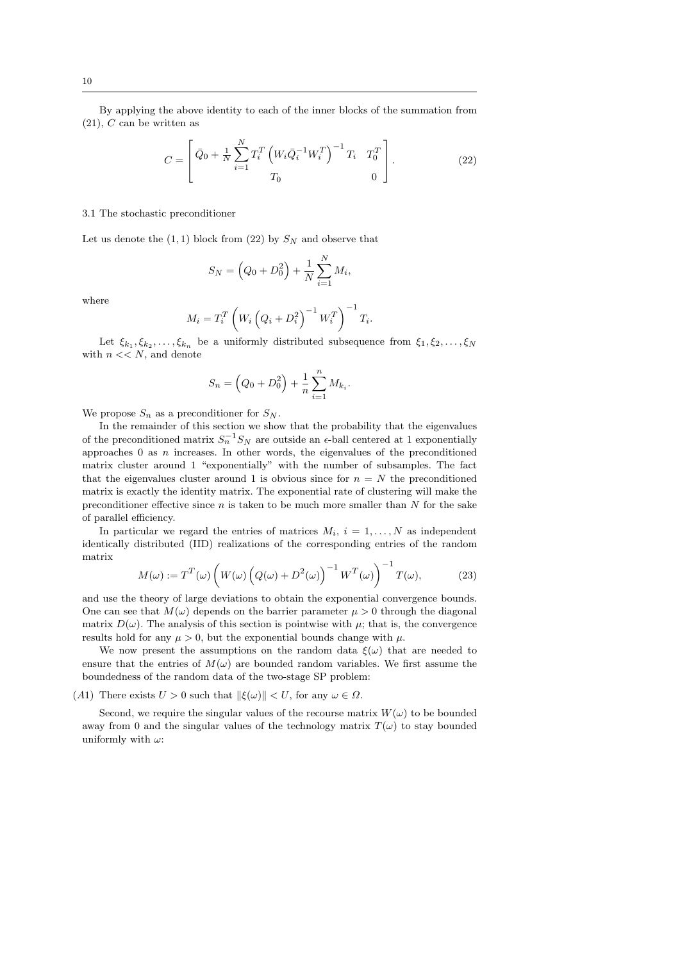By applying the above identity to each of the inner blocks of the summation from  $(21)$ , C can be written as

$$
C = \begin{bmatrix} \bar{Q}_0 + \frac{1}{N} \sum_{i=1}^N T_i^T \left( W_i \bar{Q}_i^{-1} W_i^T \right)^{-1} T_i & T_0^T \\ T_0 & 0 \end{bmatrix} .
$$
 (22)

#### 3.1 The stochastic preconditioner

Let us denote the  $(1, 1)$  block from  $(22)$  by  $S_N$  and observe that

$$
S_N = \left(Q_0 + D_0^2\right) + \frac{1}{N} \sum_{i=1}^{N} M_i,
$$

where

$$
M_i = T_i^T \left( W_i \left( Q_i + D_i^2 \right)^{-1} W_i^T \right)^{-1} T_i.
$$

Let  $\xi_{k_1}, \xi_{k_2}, \ldots, \xi_{k_n}$  be a uniformly distributed subsequence from  $\xi_1, \xi_2, \ldots, \xi_N$ with  $n \ll N$ , and denote

$$
S_n = \left(Q_0 + D_0^2\right) + \frac{1}{n} \sum_{i=1}^n M_{k_i}.
$$

We propose  $S_n$  as a preconditioner for  $S_N$ .

In the remainder of this section we show that the probability that the eigenvalues of the preconditioned matrix  $S_n^{-1}S_N$  are outside an  $\epsilon$ -ball centered at 1 exponentially approaches  $0$  as  $n$  increases. In other words, the eigenvalues of the preconditioned matrix cluster around 1 "exponentially" with the number of subsamples. The fact that the eigenvalues cluster around 1 is obvious since for  $n = N$  the preconditioned matrix is exactly the identity matrix. The exponential rate of clustering will make the preconditioner effective since  $n$  is taken to be much more smaller than  $N$  for the sake of parallel efficiency.

In particular we regard the entries of matrices  $M_i$ ,  $i = 1, ..., N$  as independent identically distributed (IID) realizations of the corresponding entries of the random matrix

$$
M(\omega) := T^T(\omega) \left( W(\omega) \left( Q(\omega) + D^2(\omega) \right)^{-1} W^T(\omega) \right)^{-1} T(\omega), \tag{23}
$$

and use the theory of large deviations to obtain the exponential convergence bounds. One can see that  $M(\omega)$  depends on the barrier parameter  $\mu > 0$  through the diagonal matrix  $D(\omega)$ . The analysis of this section is pointwise with  $\mu$ ; that is, the convergence results hold for any  $\mu > 0$ , but the exponential bounds change with  $\mu$ .

We now present the assumptions on the random data  $\xi(\omega)$  that are needed to ensure that the entries of  $M(\omega)$  are bounded random variables. We first assume the boundedness of the random data of the two-stage SP problem:

(A1) There exists  $U > 0$  such that  $\|\xi(\omega)\| < U$ , for any  $\omega \in \Omega$ .

Second, we require the singular values of the recourse matrix  $W(\omega)$  to be bounded away from 0 and the singular values of the technology matrix  $T(\omega)$  to stay bounded uniformly with  $\omega$ :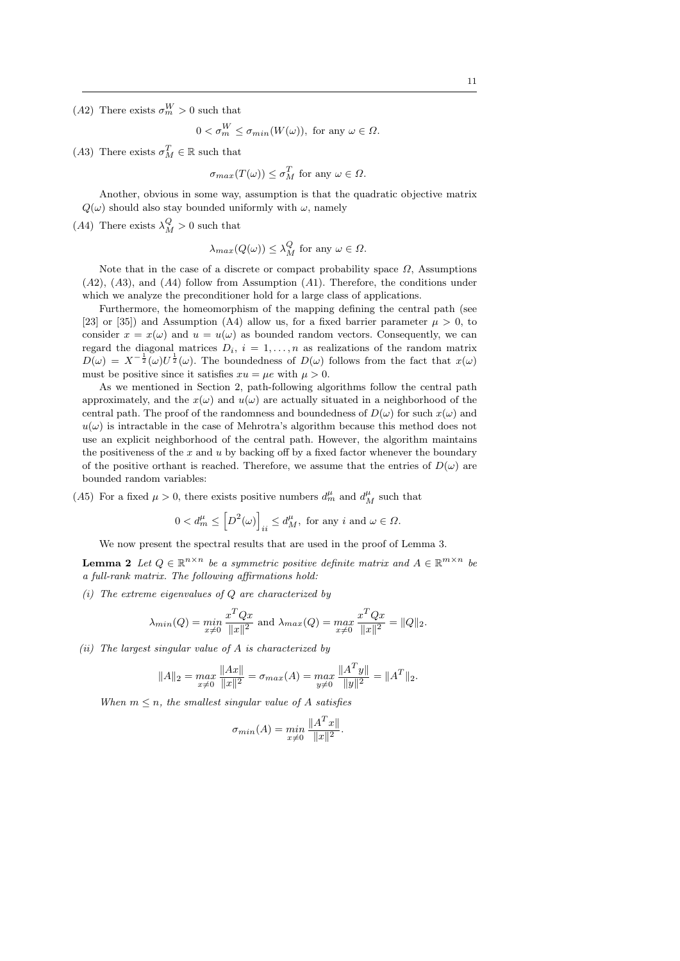(A2) There exists  $\sigma_m^W > 0$  such that

$$
0 < \sigma_m^W \le \sigma_{min}(W(\omega)), \text{ for any } \omega \in \Omega.
$$

(A3) There exists  $\sigma_M^T \in \mathbb{R}$  such that

$$
\sigma_{max}(T(\omega)) \leq \sigma_M^T
$$
 for any  $\omega \in \Omega$ .

Another, obvious in some way, assumption is that the quadratic objective matrix  $Q(\omega)$  should also stay bounded uniformly with  $\omega$ , namely

(A4) There exists  $\lambda_M^Q > 0$  such that

$$
\lambda_{max}(Q(\omega)) \le \lambda_M^Q \text{ for any } \omega \in \Omega.
$$

Note that in the case of a discrete or compact probability space  $\Omega$ , Assumptions  $(A2)$ ,  $(A3)$ , and  $(A4)$  follow from Assumption  $(A1)$ . Therefore, the conditions under which we analyze the preconditioner hold for a large class of applications.

Furthermore, the homeomorphism of the mapping defining the central path (see [23] or [35]) and Assumption (A4) allow us, for a fixed barrier parameter  $\mu > 0$ , to consider  $x = x(\omega)$  and  $u = u(\omega)$  as bounded random vectors. Consequently, we can regard the diagonal matrices  $D_i$ ,  $i = 1, \ldots, n$  as realizations of the random matrix  $D(\omega) = X^{-\frac{1}{2}}(\omega)U^{\frac{1}{2}}(\omega)$ . The boundedness of  $D(\omega)$  follows from the fact that  $x(\omega)$ must be positive since it satisfies  $xu = \mu e$  with  $\mu > 0$ .

As we mentioned in Section 2, path-following algorithms follow the central path approximately, and the  $x(\omega)$  and  $u(\omega)$  are actually situated in a neighborhood of the central path. The proof of the randomness and boundedness of  $D(\omega)$  for such  $x(\omega)$  and  $u(\omega)$  is intractable in the case of Mehrotra's algorithm because this method does not use an explicit neighborhood of the central path. However, the algorithm maintains the positiveness of the  $x$  and  $u$  by backing off by a fixed factor whenever the boundary of the positive orthant is reached. Therefore, we assume that the entries of  $D(\omega)$  are bounded random variables:

(A5) For a fixed  $\mu > 0$ , there exists positive numbers  $d_m^{\mu}$  and  $d_M^{\mu}$  such that

$$
0 < d_m^{\mu} \le \left[D^2(\omega)\right]_{ii} \le d_M^{\mu}, \text{ for any } i \text{ and } \omega \in \Omega.
$$

We now present the spectral results that are used in the proof of Lemma 3.

**Lemma 2** Let  $Q \in \mathbb{R}^{n \times n}$  be a symmetric positive definite matrix and  $A \in \mathbb{R}^{m \times n}$  be a full-rank matrix. The following affirmations hold:

(i) The extreme eigenvalues of  $Q$  are characterized by

$$
\lambda_{min}(Q) = \min_{x \neq 0} \frac{x^T Q x}{\|x\|^2} \text{ and } \lambda_{max}(Q) = \max_{x \neq 0} \frac{x^T Q x}{\|x\|^2} = \|Q\|_2.
$$

(ii) The largest singular value of A is characterized by

$$
||A||_2 = \max_{x \neq 0} \frac{||Ax||}{||x||^2} = \sigma_{max}(A) = \max_{y \neq 0} \frac{||A^T y||}{||y||^2} = ||A^T||_2.
$$

When  $m \leq n$ , the smallest singular value of A satisfies

$$
\sigma_{min}(A) = \min_{x \neq 0} \frac{\|A^T x\|}{\|x\|^2}.
$$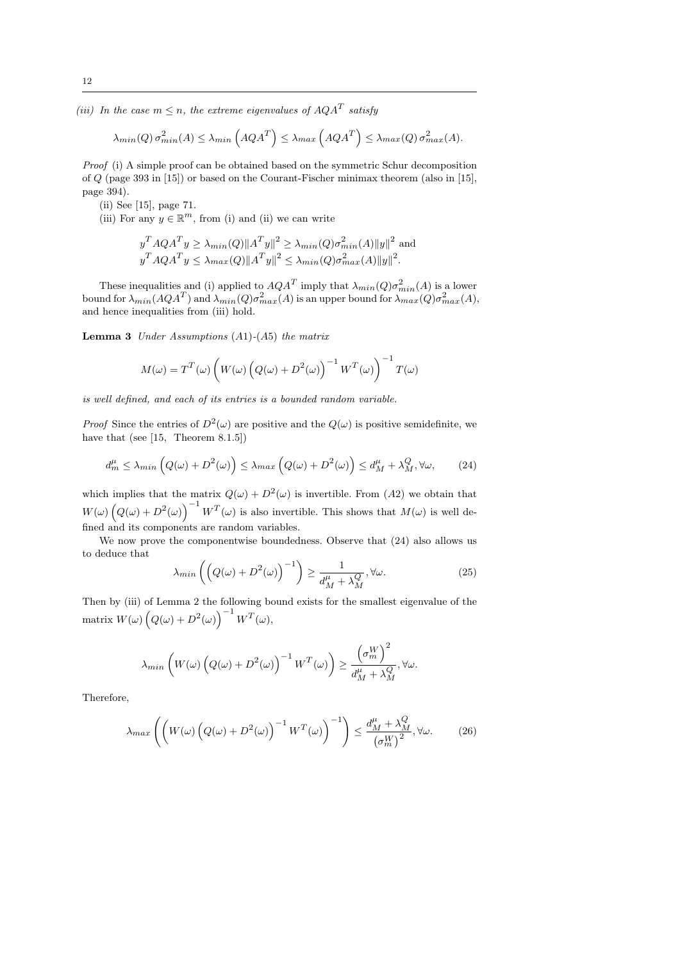(iii) In the case  $m \leq n$ , the extreme eigenvalues of  $AQA^T$  satisfy

$$
\lambda_{min}(Q) \sigma_{min}^2(A) \le \lambda_{min}\left(AQA^T\right) \le \lambda_{max}\left(AQA^T\right) \le \lambda_{max}(Q) \sigma_{max}^2(A).
$$

Proof (i) A simple proof can be obtained based on the symmetric Schur decomposition of Q (page 393 in [15]) or based on the Courant-Fischer minimax theorem (also in [15], page 394).

(ii) See [15], page 71.

(iii) For any  $y \in \mathbb{R}^m$ , from (i) and (ii) we can write

$$
y^{T} A Q A^{T} y \geq \lambda_{min}(Q) \|A^{T} y\|^{2} \geq \lambda_{min}(Q) \sigma_{min}^{2}(A) \|y\|^{2}
$$
 and  

$$
y^{T} A Q A^{T} y \leq \lambda_{max}(Q) \|A^{T} y\|^{2} \leq \lambda_{min}(Q) \sigma_{max}^{2}(A) \|y\|^{2}.
$$

These inequalities and (i) applied to  $AQA<sup>T</sup>$  imply that  $\lambda_{min}(Q)\sigma_{min}^2(A)$  is a lower bound for  $\lambda_{min}(AQA^T)$  and  $\lambda_{min}(Q)\sigma_{max}^2(A)$  is an upper bound for  $\lambda_{max}(Q)\sigma_{max}^2(A)$ , and hence inequalities from (iii) hold.

**Lemma 3** Under Assumptions  $(A1)$ - $(A5)$  the matrix

$$
M(\omega) = T^{T}(\omega) \left( W(\omega) \left( Q(\omega) + D^{2}(\omega) \right)^{-1} W^{T}(\omega) \right)^{-1} T(\omega)
$$

is well defined, and each of its entries is a bounded random variable.

*Proof* Since the entries of  $D^2(\omega)$  are positive and the  $Q(\omega)$  is positive semidefinite, we have that (see [15, Theorem 8.1.5])

$$
d_m^{\mu} \le \lambda_{min} \left( Q(\omega) + D^2(\omega) \right) \le \lambda_{max} \left( Q(\omega) + D^2(\omega) \right) \le d_M^{\mu} + \lambda_M^Q, \forall \omega,
$$
 (24)

which implies that the matrix  $Q(\omega) + D^2(\omega)$  is invertible. From (A2) we obtain that  $W(\omega)\left(Q(\omega)+D^2(\omega)\right)^{-1}W^T(\omega)$  is also invertible. This shows that  $M(\omega)$  is well defined and its components are random variables.

We now prove the componentwise boundedness. Observe that (24) also allows us to deduce that

$$
\lambda_{min}\left(\left(Q(\omega) + D^2(\omega)\right)^{-1}\right) \ge \frac{1}{d_M^{\mu} + \lambda_M^Q}, \forall \omega.
$$
\n(25)

Then by (iii) of Lemma 2 the following bound exists for the smallest eigenvalue of the matrix  $W(\omega)\left(Q(\omega)+D^2(\omega)\right)^{-1}W^T(\omega),$ 

$$
\lambda_{min}\left(W(\omega)\left(Q(\omega)+D^2(\omega)\right)^{-1}W^T(\omega)\right)\geq \frac{\left(\sigma_m^W\right)^2}{d_M^{\mu}+\lambda_M^Q},\forall \omega.
$$

Therefore,

$$
\lambda_{max}\left(\left(W(\omega)\left(Q(\omega)+D^2(\omega)\right)^{-1}W^T(\omega)\right)^{-1}\right) \le \frac{d_M^{\mu} + \lambda_M^Q}{\left(\sigma_m^W\right)^2}, \forall \omega. \tag{26}
$$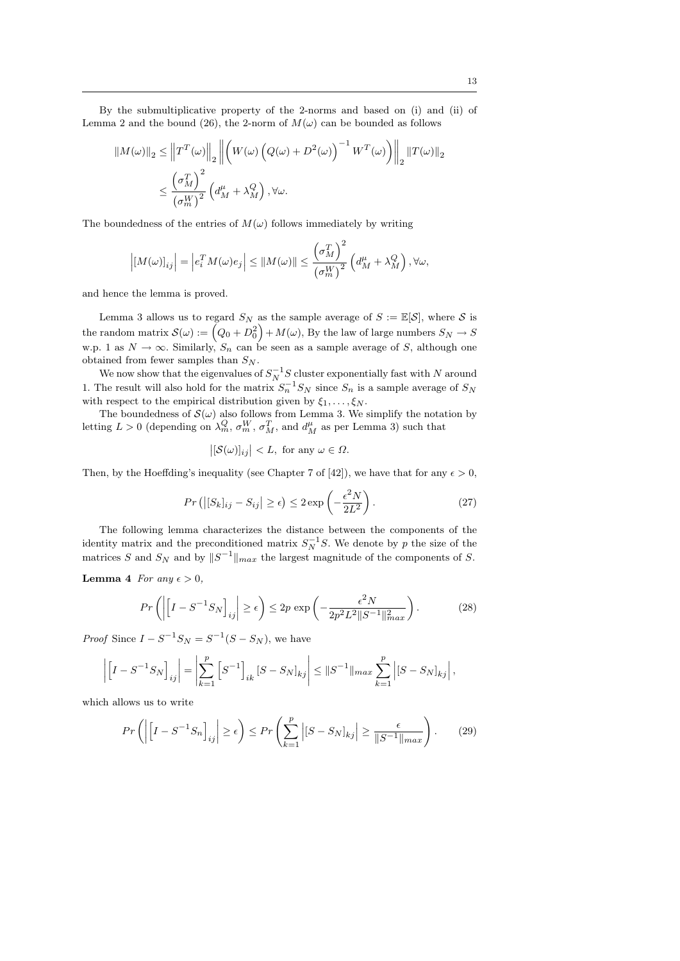By the submultiplicative property of the 2-norms and based on (i) and (ii) of Lemma 2 and the bound (26), the 2-norm of  $M(\omega)$  can be bounded as follows

$$
\|M(\omega)\|_{2} \leq \left\|T^{T}(\omega)\right\|_{2} \left\|\left(W(\omega)\left(Q(\omega)+D^{2}(\omega)\right)^{-1}W^{T}(\omega)\right)\right\|_{2} \|T(\omega)\|_{2}
$$

$$
\leq \frac{\left(\sigma_{M}^{T}\right)^{2}}{\left(\sigma_{m}^{W}\right)^{2}}\left(d_{M}^{\mu} + \lambda_{M}^{Q}\right), \forall \omega.
$$

The boundedness of the entries of  $M(\omega)$  follows immediately by writing

$$
\left| \left[ M(\omega) \right]_{ij} \right| = \left| e_i^T M(\omega) e_j \right| \leq \left| \left[ M(\omega) \right] \right| \leq \frac{\left( \sigma_M^T \right)^2}{\left( \sigma_M^W \right)^2} \left( d_M^{\mu} + \lambda_M^Q \right), \forall \omega,
$$

and hence the lemma is proved.

Lemma 3 allows us to regard  $S_N$  as the sample average of  $S := \mathbb{E}[\mathcal{S}]$ , where  $\mathcal S$  is the random matrix  $\mathcal{S}(\omega) := \left(Q_0 + D_0^2\right) + M(\omega)$ , By the law of large numbers  $S_N \to S$ w.p. 1 as  $N \to \infty$ . Similarly,  $S_n$  can be seen as a sample average of S, although one obtained from fewer samples than  $S_N$ .

We now show that the eigenvalues of  $S_N^{-1}S$  cluster exponentially fast with N around 1. The result will also hold for the matrix  $S_n^{-1}S_N$  since  $S_n$  is a sample average of  $S_N$ with respect to the empirical distribution given by  $\xi_1, \ldots, \xi_N$ .

The boundedness of  $\mathcal{S}(\omega)$  also follows from Lemma 3. We simplify the notation by letting  $L > 0$  (depending on  $\lambda_m^Q$ ,  $\sigma_m^W$ ,  $\sigma_M^T$ , and  $d_M^{\mu}$  as per Lemma 3) such that

$$
\left| [\mathcal{S}(\omega)]_{ij} \right| < L, \text{ for any } \omega \in \Omega.
$$

Then, by the Hoeffding's inequality (see Chapter 7 of [42]), we have that for any  $\epsilon > 0$ ,

$$
Pr\left(\left|[S_k]_{ij} - S_{ij}\right| \ge \epsilon\right) \le 2 \exp\left(-\frac{\epsilon^2 N}{2L^2}\right). \tag{27}
$$

The following lemma characterizes the distance between the components of the identity matrix and the preconditioned matrix  $S_N^{-1}S$ . We denote by p the size of the matrices S and  $S_N$  and by  $||S^{-1}||_{max}$  the largest magnitude of the components of S.

**Lemma 4** For any  $\epsilon > 0$ ,

$$
Pr\left(\left|\left[I - S^{-1}S_N\right]_{ij}\right| \ge \epsilon\right) \le 2p \exp\left(-\frac{\epsilon^2 N}{2p^2 L^2 \|S^{-1}\|_{max}^2}\right). \tag{28}
$$

*Proof* Since  $I - S^{-1}S_N = S^{-1}(S - S_N)$ , we have

$$
\left| \left[ I - S^{-1} S_N \right]_{ij} \right| = \left| \sum_{k=1}^p \left[ S^{-1} \right]_{ik} \left[ S - S_N \right]_{kj} \right| \leq \| S^{-1} \|_{max} \sum_{k=1}^p \left| \left[ S - S_N \right]_{kj} \right|,
$$

which allows us to write

$$
Pr\left(\left|\left[I - S^{-1}S_n\right]_{ij}\right| \ge \epsilon\right) \le Pr\left(\sum_{k=1}^p \left|[S - S_N]_{kj}\right| \ge \frac{\epsilon}{\|S^{-1}\|_{max}}\right). \tag{29}
$$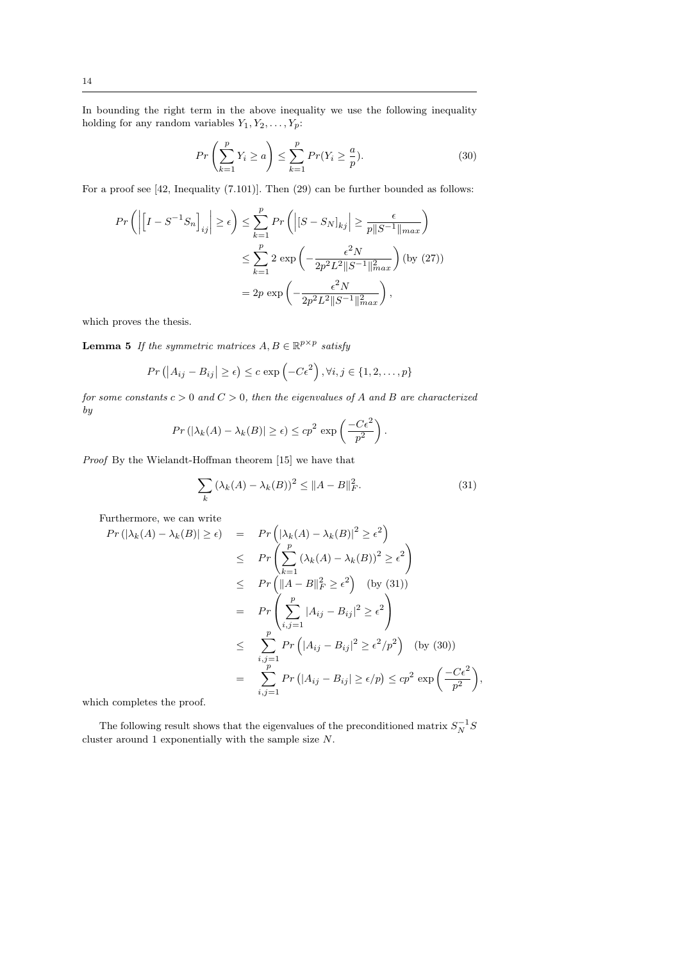In bounding the right term in the above inequality we use the following inequality holding for any random variables  $Y_1, Y_2, \ldots, Y_p$ :

$$
Pr\left(\sum_{k=1}^{p} Y_i \ge a\right) \le \sum_{k=1}^{p} Pr(Y_i \ge \frac{a}{p}).\tag{30}
$$

For a proof see [42, Inequality (7.101)]. Then (29) can be further bounded as follows:

$$
Pr\left(\left|\left[I - S^{-1}S_n\right]_{ij}\right| \ge \epsilon\right) \le \sum_{k=1}^p Pr\left(\left|[S - S_N]_{kj}\right| \ge \frac{\epsilon}{p||S^{-1}||_{max}}\right)
$$

$$
\le \sum_{k=1}^p 2 \exp\left(-\frac{\epsilon^2 N}{2p^2 L^2 ||S^{-1}||_{max}^2}\right) \text{ (by (27))}
$$

$$
= 2p \exp\left(-\frac{\epsilon^2 N}{2p^2 L^2 ||S^{-1}||_{max}^2}\right),
$$

which proves the thesis.

**Lemma 5** If the symmetric matrices  $A, B \in \mathbb{R}^{p \times p}$  satisfy

$$
Pr\left(\left|A_{ij}-B_{ij}\right|\geq\epsilon\right)\leq c\exp\left(-C\epsilon^2\right),\forall i,j\in\{1,2,\ldots,p\}
$$

for some constants  $c > 0$  and  $C > 0$ , then the eigenvalues of A and B are characterized by

$$
Pr(|\lambda_k(A) - \lambda_k(B)| \ge \epsilon) \le cp^2 \exp\left(\frac{-C\epsilon^2}{p^2}\right).
$$

Proof By the Wielandt-Hoffman theorem [15] we have that

$$
\sum_{k} (\lambda_k(A) - \lambda_k(B))^2 \le ||A - B||_F^2.
$$
 (31)

Furthermore, we can write

$$
Pr(|\lambda_{k}(A) - \lambda_{k}(B)| \ge \epsilon) = Pr\left(|\lambda_{k}(A) - \lambda_{k}(B)|^{2} \ge \epsilon^{2}\right)
$$
  
\n
$$
\le Pr\left(\sum_{k=1}^{p} (\lambda_{k}(A) - \lambda_{k}(B))^{2} \ge \epsilon^{2}\right)
$$
  
\n
$$
\le Pr\left(\|A - B\|_{F}^{2} \ge \epsilon^{2}\right) \text{ (by (31))}
$$
  
\n
$$
= Pr\left(\sum_{i,j=1}^{p} |A_{ij} - B_{ij}|^{2} \ge \epsilon^{2}\right)
$$
  
\n
$$
\le \sum_{i,j=1}^{p} Pr\left(|A_{ij} - B_{ij}|^{2} \ge \epsilon^{2}/p^{2}\right) \text{ (by (30))}
$$
  
\n
$$
= \sum_{i,j=1}^{p} Pr\left(|A_{ij} - B_{ij}| \ge \epsilon/p\right) \le cp^{2} \exp\left(\frac{-C\epsilon^{2}}{p^{2}}\right),
$$

which completes the proof.

The following result shows that the eigenvalues of the preconditioned matrix  $S_N^{-1}S$ cluster around 1 exponentially with the sample size N.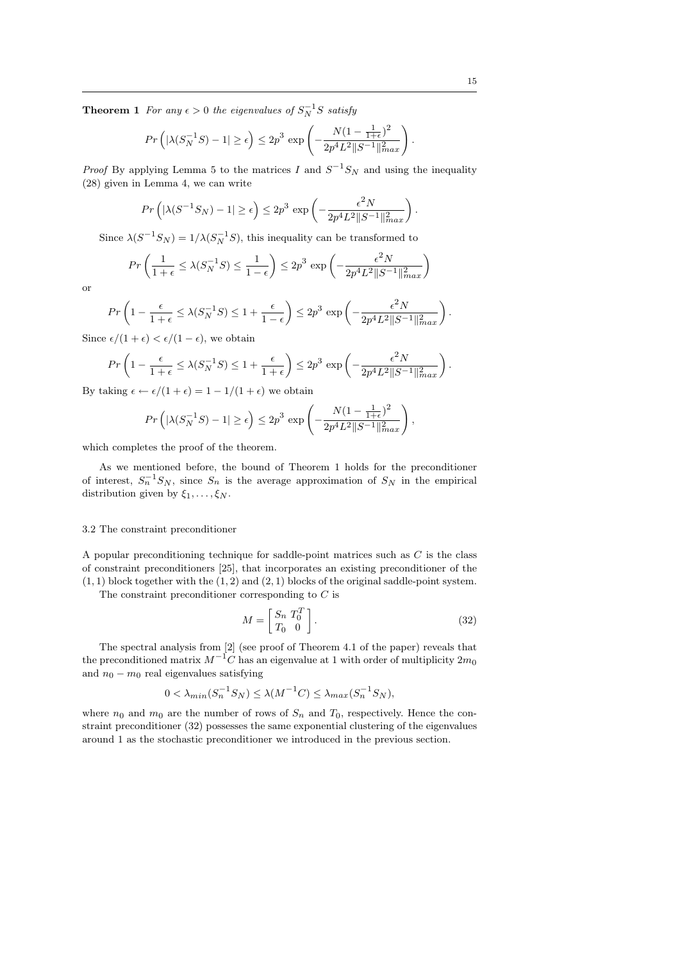$$
Pr\left(|\lambda(S_N^{-1}S) - 1| \ge \epsilon\right) \le 2p^3 \exp\left(-\frac{N(1 - \frac{1}{1+\epsilon})^2}{2p^4L^2||S^{-1}||_{max}^2}\right).
$$

*Proof* By applying Lemma 5 to the matrices I and  $S^{-1}S_N$  and using the inequality (28) given in Lemma 4, we can write

$$
Pr\left(|\lambda(S^{-1}S_N) - 1| \ge \epsilon\right) \le 2p^3 \exp\left(-\frac{\epsilon^2 N}{2p^4 L^2 ||S^{-1}||_{max}^2}\right).
$$

Since  $\lambda(S^{-1}S_N) = 1/\lambda(S_N^{-1}S)$ , this inequality can be transformed to

$$
Pr\left(\frac{1}{1+\epsilon} \le \lambda(S_N^{-1}S) \le \frac{1}{1-\epsilon}\right) \le 2p^3 \exp\left(-\frac{\epsilon^2 N}{2p^4 L^2 ||S^{-1}||_{max}^2}\right)
$$

or

$$
Pr\left(1 - \frac{\epsilon}{1+\epsilon} \le \lambda(S_N^{-1}S) \le 1 + \frac{\epsilon}{1-\epsilon}\right) \le 2p^3 \exp\left(-\frac{\epsilon^2 N}{2p^4 L^2 ||S^{-1}||_{max}^2}\right)
$$

Since  $\epsilon/(1 + \epsilon) < \epsilon/(1 - \epsilon)$ , we obtain

$$
Pr\left(1 - \frac{\epsilon}{1+\epsilon} \le \lambda(S_N^{-1}S) \le 1 + \frac{\epsilon}{1+\epsilon}\right) \le 2p^3 \exp\left(-\frac{\epsilon^2 N}{2p^4 L^2 \|S^{-1}\|_{max}^2}\right).
$$

By taking  $\epsilon \leftarrow \epsilon/(1+\epsilon) = 1 - 1/(1+\epsilon)$  we obtain

$$
Pr\left(|\lambda(S_N^{-1}S) - 1| \ge \epsilon\right) \le 2p^3 \exp\left(-\frac{N(1 - \frac{1}{1+\epsilon})^2}{2p^4L^2||S^{-1}||_{max}^2}\right),\,
$$

which completes the proof of the theorem.

As we mentioned before, the bound of Theorem 1 holds for the preconditioner of interest,  $S_n^{-1}S_N$ , since  $S_n$  is the average approximation of  $S_N$  in the empirical distribution given by  $\xi_1, \ldots, \xi_N$ .

# 3.2 The constraint preconditioner

A popular preconditioning technique for saddle-point matrices such as  $C$  is the class of constraint preconditioners [25], that incorporates an existing preconditioner of the  $(1, 1)$  block together with the  $(1, 2)$  and  $(2, 1)$  blocks of the original saddle-point system.

The constraint preconditioner corresponding to  $C$  is

$$
M = \begin{bmatrix} S_n & T_0^T \\ T_0 & 0 \end{bmatrix} . \tag{32}
$$

The spectral analysis from [2] (see proof of Theorem 4.1 of the paper) reveals that the preconditioned matrix  $M^{-1}C$  has an eigenvalue at 1 with order of multiplicity  $2m_0$ and  $n_0 - m_0$  real eigenvalues satisfying

$$
0 < \lambda_{min}(S_n^{-1}S_N) \le \lambda(M^{-1}C) \le \lambda_{max}(S_n^{-1}S_N),
$$

where  $n_0$  and  $m_0$  are the number of rows of  $S_n$  and  $T_0$ , respectively. Hence the constraint preconditioner (32) possesses the same exponential clustering of the eigenvalues around 1 as the stochastic preconditioner we introduced in the previous section.

.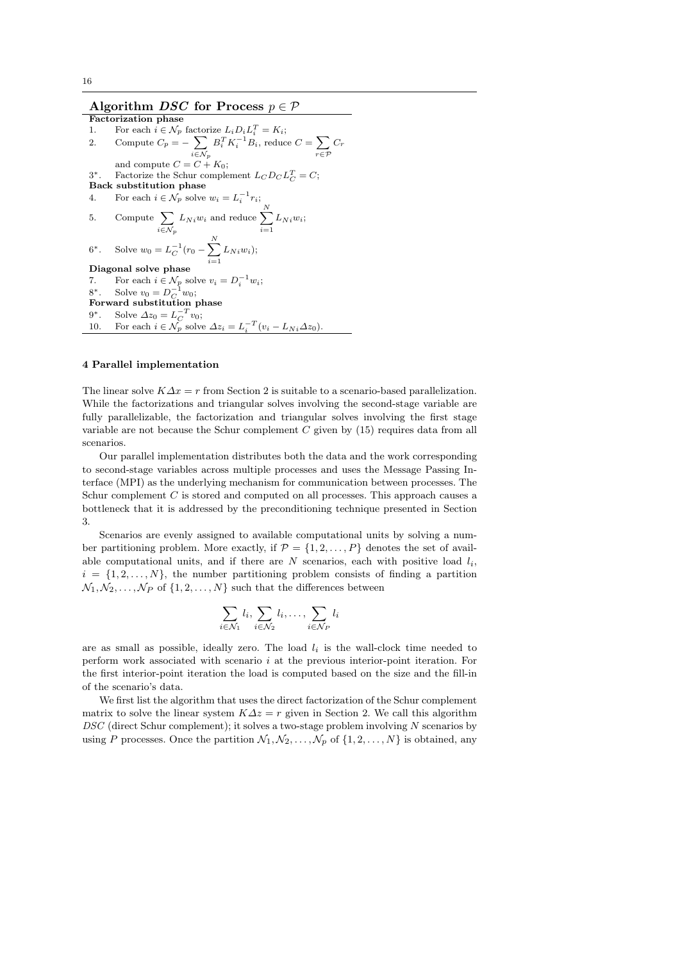# Algorithm *DSC* for Process  $p \in \mathcal{P}$

Factorization phase 1. For each  $i \in \mathcal{N}_p$  factorize  $L_i D_i L_i^T = K_i$ ; 2. Compute  $C_p = -\sum$  $i \in \mathcal{N}_p$  $B_i^T K_i^{-1} B_i$ , reduce  $C = \sum_i$ r∈P  $C_r$ and compute  $C = C + K_0$ ; 3 <sup>\*</sup>. Factorize the Schur complement  $L_C D_C L_C^T = C$ ; Back substitution phase 4. For each  $i \in \mathcal{N}_p$  solve  $w_i = L_i^{-1} r_i$ ; 5. Compute  $\sum$  $i \in \mathcal{N}_p$  $L_{Ni}$  and reduce  $\sum_{i=1}^{N}$  $i=1$  $L_{Ni}$  $w_i$ ;  $6^*$ . \*. Solve  $w_0 = L_C^{-1}(r_0 - \sum_{i=1}^{N} L_{Ni} w_i);$  $\mathbf{Diagonal}$  solve phase  $i=1$ 7. For each  $i \in \mathcal{N}_p$  solve  $v_i = D_i^{-1} w_i$ ;<br>8<sup>\*</sup>. Solve  $v_0 = D_C^{-1} w_0$ ; Forward substitution phase  $9^*$ . \*. Solve  $\Delta z_0 = L_C^{-T} v_0;$ 10. For each  $i \in \mathcal{N}_p$  solve  $\Delta z_i = L_i^{-T} (v_i - L_{Ni} \Delta z_0)$ .

#### 4 Parallel implementation

The linear solve  $K\Delta x = r$  from Section 2 is suitable to a scenario-based parallelization. While the factorizations and triangular solves involving the second-stage variable are fully parallelizable, the factorization and triangular solves involving the first stage variable are not because the Schur complement  $C$  given by  $(15)$  requires data from all scenarios.

Our parallel implementation distributes both the data and the work corresponding to second-stage variables across multiple processes and uses the Message Passing Interface (MPI) as the underlying mechanism for communication between processes. The Schur complement C is stored and computed on all processes. This approach causes a bottleneck that it is addressed by the preconditioning technique presented in Section 3.

Scenarios are evenly assigned to available computational units by solving a number partitioning problem. More exactly, if  $\mathcal{P} = \{1, 2, ..., P\}$  denotes the set of available computational units, and if there are  $N$  scenarios, each with positive load  $l_i$ ,  $i = \{1, 2, \ldots, N\}$ , the number partitioning problem consists of finding a partition  $\mathcal{N}_1, \mathcal{N}_2, \ldots, \mathcal{N}_P$  of  $\{1, 2, \ldots, N\}$  such that the differences between

$$
\sum_{i \in \mathcal{N}_1} l_i, \sum_{i \in \mathcal{N}_2} l_i, \dots, \sum_{i \in \mathcal{N}_P} l_i
$$

are as small as possible, ideally zero. The load  $l_i$  is the wall-clock time needed to perform work associated with scenario  $i$  at the previous interior-point iteration. For the first interior-point iteration the load is computed based on the size and the fill-in of the scenario's data.

We first list the algorithm that uses the direct factorization of the Schur complement matrix to solve the linear system  $K\Delta z = r$  given in Section 2. We call this algorithm DSC (direct Schur complement); it solves a two-stage problem involving N scenarios by using P processes. Once the partition  $\mathcal{N}_1, \mathcal{N}_2, \ldots, \mathcal{N}_p$  of  $\{1, 2, \ldots, N\}$  is obtained, any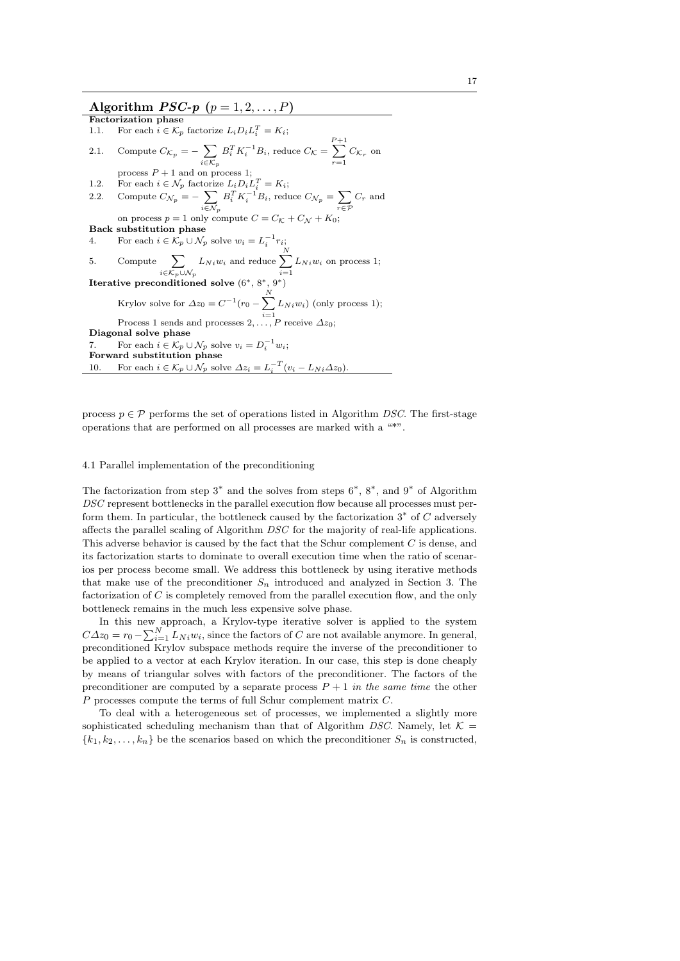# Algorithm  $PSC-p$   $(p = 1, 2, \ldots, P)$

Factorization phase 1.1. For each  $i \in \mathcal{K}_p$  factorize  $L_i D_i L_i^T = K_i$ ; 2.1. Compute  $C_{\mathcal{K}_p} = -\sum$  $i \in \mathcal{K}_p$  $B_i^T K_i^{-1} B_i$ , reduce  $C_{\mathcal{K}} =$  $\sum$  $\sum_{r=1}$   $C_{\mathcal{K}_r}$  on process  $P + 1$  and on process 1; 1.2. For each  $i \in \mathcal{N}_p$  factorize  $L_i D_i L_i^T = K_i$ ; 2.2. Compute  $C_{\mathcal{N}_p} = -\sum$  $i \in \mathcal{N}_p$  $B_i^T K_i^{-1} B_i$ , reduce  $C_{\mathcal{N}_p} = \sum$ r∈P  $C_r$  and on process  $p = 1$  only compute  $C = C_{\mathcal{K}} + C_{\mathcal{N}} + K_0$ ; Back substitution phase 4. For each  $i \in \mathcal{K}_p \cup \mathcal{N}_p$  solve  $w_i = L_i^{-1} r_i$ ; 5. Compute  $\sum$  $i \in \mathcal{K}_p \cup \mathcal{N}_p$  $L_{Ni}$  and reduce  $\sum_{i=1}^{N}$  $i=1$  $L_{Ni}$  on process 1; Iterative preconditioned solve  $(6^*, 8^*, 9^*)$ Krylov solve for  $\Delta z_0 = C^{-1}(r_0 - \sum_{n=1}^{N}$  $i=1$  $L_{Ni}$  $w_i)$  (only process 1); Process 1 sends and processes  $2, \ldots, P$  receive  $\Delta z_0$ ; Diagonal solve phase 7. For each  $i \in \mathcal{K}_p \cup \mathcal{N}_p$  solve  $v_i = D_i^{-1} w_i$ ; Forward substitution phase 10. For each  $i \in \mathcal{K}_p \cup \mathcal{N}_p$  solve  $\Delta z_i = L_i^{-T} (v_i - L_{Ni} \Delta z_0)$ .

process  $p \in \mathcal{P}$  performs the set of operations listed in Algorithm DSC. The first-stage operations that are performed on all processes are marked with a "\*".

#### 4.1 Parallel implementation of the preconditioning

The factorization from step  $3^*$  and the solves from steps  $6^*$ ,  $8^*$ , and  $9^*$  of Algorithm DSC represent bottlenecks in the parallel execution flow because all processes must perform them. In particular, the bottleneck caused by the factorization  $3^*$  of  $C$  adversely affects the parallel scaling of Algorithm DSC for the majority of real-life applications. This adverse behavior is caused by the fact that the Schur complement C is dense, and its factorization starts to dominate to overall execution time when the ratio of scenarios per process become small. We address this bottleneck by using iterative methods that make use of the preconditioner  $S_n$  introduced and analyzed in Section 3. The factorization of C is completely removed from the parallel execution flow, and the only bottleneck remains in the much less expensive solve phase.

In this new approach, a Krylov-type iterative solver is applied to the system  $C\Delta z_0 = r_0 - \sum_{i=1}^{N} L_{Ni} w_i$ , since the factors of C are not available anymore. In general, preconditioned Krylov subspace methods require the inverse of the preconditioner to be applied to a vector at each Krylov iteration. In our case, this step is done cheaply by means of triangular solves with factors of the preconditioner. The factors of the preconditioner are computed by a separate process  $P + 1$  in the same time the other P processes compute the terms of full Schur complement matrix C.

To deal with a heterogeneous set of processes, we implemented a slightly more sophisticated scheduling mechanism than that of Algorithm DSC. Namely, let  $K =$  ${k_1, k_2, \ldots, k_n}$  be the scenarios based on which the preconditioner  $S_n$  is constructed,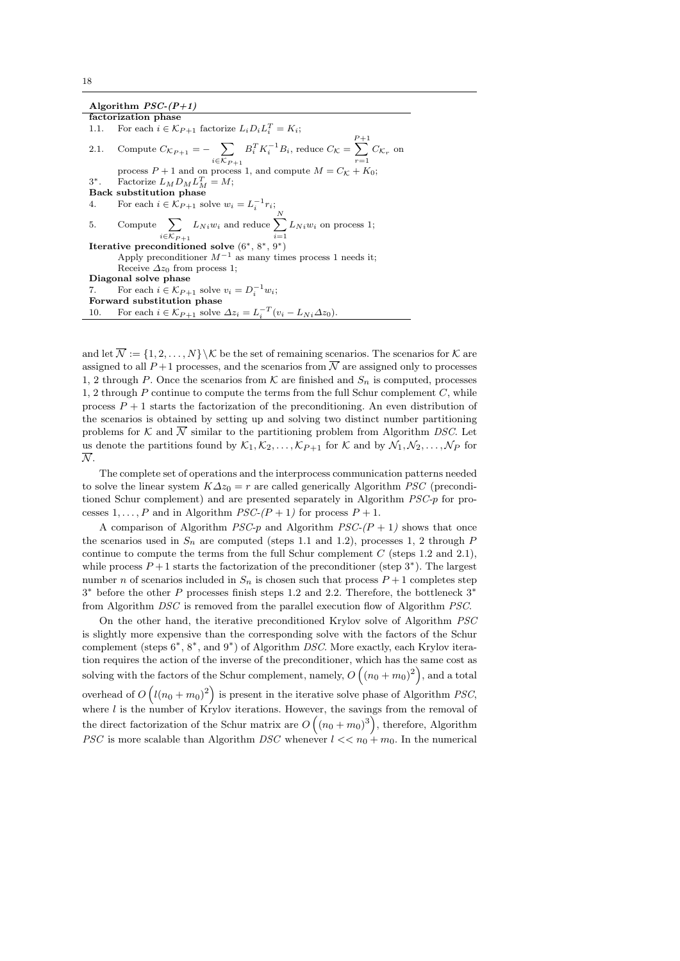Algorithm  $PSC-(P+1)$ 

factorization phase 1.1. For each  $i \in \mathcal{K}_{P+1}$  factorize  $L_i D_i L_i^T = K_i$ ; 2.1. Compute  $C_{\mathcal{K}_{P+1}} = -\sum$  $i \in \mathcal{K}_{P+1}$  $B_i^T K_i^{-1} B_i$ , reduce  $C_{\mathcal{K}} =$  $\sum$  $\sum_{r=1} C_{\mathcal{K}_r}$  on process  $P + 1$  and on process 1, and compute  $M = C_{\mathcal{K}} + K_0$ ; 3 \*. Factorize  $L_M D_M L_M^T = M;$ Back substitution phase 4. For each  $i \in \mathcal{K}_{P+1}$  solve  $w_i = L_i^{-1} r_i$ ; 5. Compute  $\sum$  $i \in \mathcal{K}_{P+1}$  $L_{Ni}$  and reduce  $\sum_{i=1}^{N}$  $i=1$  $L_{Ni}$  on process 1; Iterative preconditioned solve (6∗, 8∗, 9∗) Apply preconditioner  $M^{-1}$  as many times process 1 needs it; Receive  $\Delta z_0$  from process 1; Diagonal solve phase 7. For each  $i \in \mathcal{K}_{P+1}$  solve  $v_i = D_i^{-1}w_i$ ; Forward substitution phase 10. For each  $i \in \mathcal{K}_{P+1}$  solve  $\Delta z_i = L_i^{-T} (v_i - L_{Ni} \Delta z_0)$ .

and let  $\overline{\mathcal{N}} := \{1, 2, ..., N\} \backslash \mathcal{K}$  be the set of remaining scenarios. The scenarios for  $\mathcal{K}$  are assigned to all  $P+1$  processes, and the scenarios from  $\overline{N}$  are assigned only to processes 1, 2 through P. Once the scenarios from  $\mathcal K$  are finished and  $S_n$  is computed, processes 1, 2 through  $P$  continue to compute the terms from the full Schur complement  $C$ , while process  $P + 1$  starts the factorization of the preconditioning. An even distribution of the scenarios is obtained by setting up and solving two distinct number partitioning problems for K and  $\overline{N}$  similar to the partitioning problem from Algorithm DSC. Let us denote the partitions found by  $\mathcal{K}_1, \mathcal{K}_2, \ldots, \mathcal{K}_{P+1}$  for  $\mathcal{K}$  and by  $\mathcal{N}_1, \mathcal{N}_2, \ldots, \mathcal{N}_P$  for  $\overline{\mathcal{N}}$ .

The complete set of operations and the interprocess communication patterns needed to solve the linear system  $K\Delta z_0 = r$  are called generically Algorithm *PSC* (preconditioned Schur complement) and are presented separately in Algorithm PSC-p for processes  $1, \ldots, P$  and in Algorithm  $PSC-(P+1)$  for process  $P+1$ .

A comparison of Algorithm *PSC-p* and Algorithm *PSC-(P + 1)* shows that once the scenarios used in  $S_n$  are computed (steps 1.1 and 1.2), processes 1, 2 through P continue to compute the terms from the full Schur complement  $C$  (steps 1.2 and 2.1), while process  $P+1$  starts the factorization of the preconditioner (step 3<sup>\*</sup>). The largest number n of scenarios included in  $S_n$  is chosen such that process  $P+1$  completes step 3 <sup>∗</sup> before the other P processes finish steps 1.2 and 2.2. Therefore, the bottleneck 3<sup>∗</sup> from Algorithm DSC is removed from the parallel execution flow of Algorithm PSC.

On the other hand, the iterative preconditioned Krylov solve of Algorithm PSC is slightly more expensive than the corresponding solve with the factors of the Schur complement (steps 6<sup>\*</sup>, 8<sup>\*</sup>, and 9<sup>\*</sup>) of Algorithm DSC. More exactly, each Krylov iteration requires the action of the inverse of the preconditioner, which has the same cost as solving with the factors of the Schur complement, namely,  $O((n_0 + m_0)^2)$ , and a total overhead of  $O( (l(n_0 + m_0)^2)$  is present in the iterative solve phase of Algorithm *PSC*, where  $l$  is the number of Krylov iterations. However, the savings from the removal of the direct factorization of the Schur matrix are  $O((n_0 + m_0)^3)$ , therefore, Algorithm *PSC* is more scalable than Algorithm *DSC* whenever  $l \ll n_0 + m_0$ . In the numerical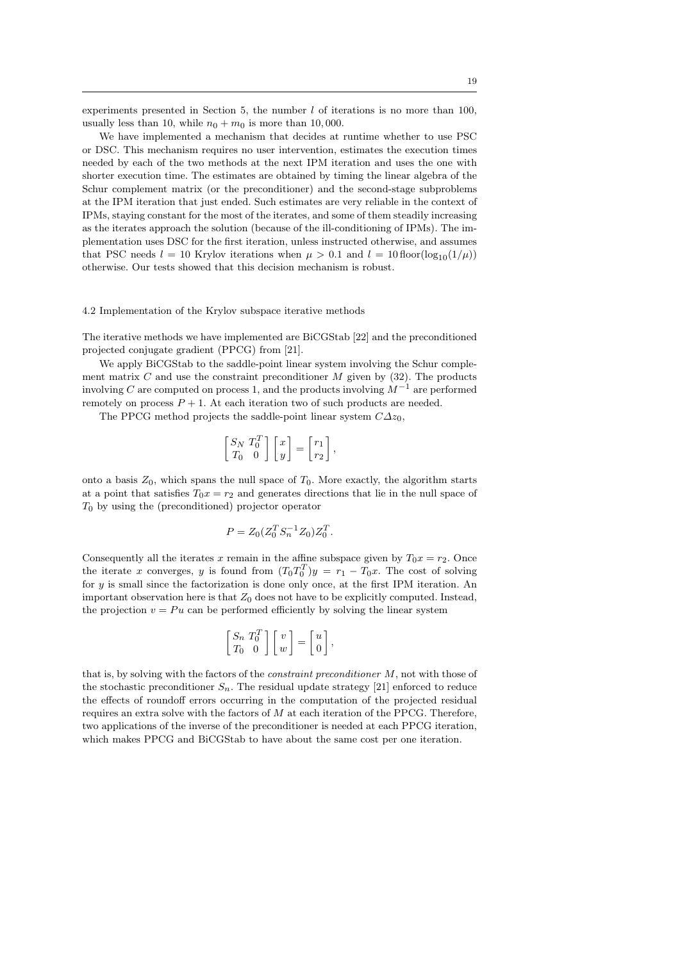experiments presented in Section 5, the number  $l$  of iterations is no more than 100, usually less than 10, while  $n_0 + m_0$  is more than 10,000.

We have implemented a mechanism that decides at runtime whether to use PSC or DSC. This mechanism requires no user intervention, estimates the execution times needed by each of the two methods at the next IPM iteration and uses the one with shorter execution time. The estimates are obtained by timing the linear algebra of the Schur complement matrix (or the preconditioner) and the second-stage subproblems at the IPM iteration that just ended. Such estimates are very reliable in the context of IPMs, staying constant for the most of the iterates, and some of them steadily increasing as the iterates approach the solution (because of the ill-conditioning of IPMs). The implementation uses DSC for the first iteration, unless instructed otherwise, and assumes that PSC needs  $l = 10$  Krylov iterations when  $\mu > 0.1$  and  $l = 10$  floor(log<sub>10</sub>(1/ $\mu$ )) otherwise. Our tests showed that this decision mechanism is robust.

#### 4.2 Implementation of the Krylov subspace iterative methods

The iterative methods we have implemented are BiCGStab [22] and the preconditioned projected conjugate gradient (PPCG) from [21].

We apply BiCGStab to the saddle-point linear system involving the Schur complement matrix C and use the constraint preconditioner  $M$  given by (32). The products involving C are computed on process 1, and the products involving  $M^{-1}$  are performed remotely on process  $P + 1$ . At each iteration two of such products are needed.

The PPCG method projects the saddle-point linear system  $C\Delta z_0$ ,

$$
\begin{bmatrix} S_N & T_0^T \\ T_0 & 0 \end{bmatrix} \begin{bmatrix} x \\ y \end{bmatrix} = \begin{bmatrix} r_1 \\ r_2 \end{bmatrix},
$$

onto a basis  $Z_0$ , which spans the null space of  $T_0$ . More exactly, the algorithm starts at a point that satisfies  $T_0x = r_2$  and generates directions that lie in the null space of  $T_0$  by using the (preconditioned) projector operator

$$
P = Z_0 (Z_0^T S_n^{-1} Z_0) Z_0^T.
$$

Consequently all the iterates x remain in the affine subspace given by  $T_0x = r_2$ . Once the iterate x converges, y is found from  $(T_0 T_0^T)y = r_1 - T_0x$ . The cost of solving for y is small since the factorization is done only once, at the first IPM iteration. An important observation here is that  $Z_0$  does not have to be explicitly computed. Instead, the projection  $v = Pu$  can be performed efficiently by solving the linear system

$$
\begin{bmatrix} S_n & T_0^T \\ T_0 & 0 \end{bmatrix} \begin{bmatrix} v \\ w \end{bmatrix} = \begin{bmatrix} u \\ 0 \end{bmatrix},
$$

that is, by solving with the factors of the constraint preconditioner M, not with those of the stochastic preconditioner  $S_n$ . The residual update strategy [21] enforced to reduce the effects of roundoff errors occurring in the computation of the projected residual requires an extra solve with the factors of  $M$  at each iteration of the PPCG. Therefore, two applications of the inverse of the preconditioner is needed at each PPCG iteration, which makes PPCG and BiCGStab to have about the same cost per one iteration.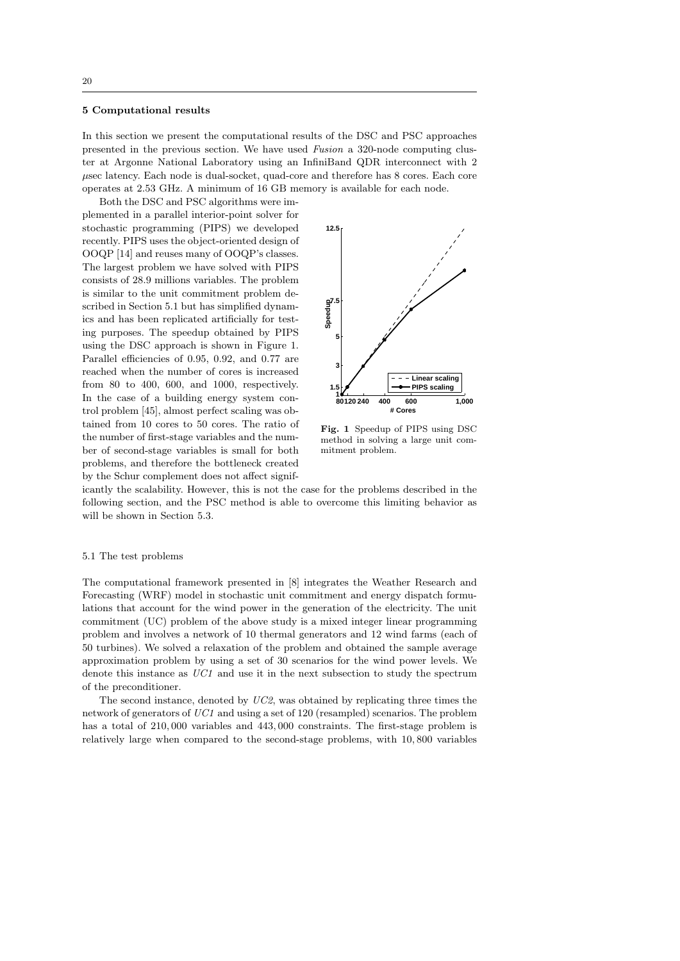#### 5 Computational results

In this section we present the computational results of the DSC and PSC approaches presented in the previous section. We have used Fusion a 320-node computing cluster at Argonne National Laboratory using an InfiniBand QDR interconnect with 2  $\mu$ sec latency. Each node is dual-socket, quad-core and therefore has 8 cores. Each core operates at 2.53 GHz. A minimum of 16 GB memory is available for each node.

Both the DSC and PSC algorithms were implemented in a parallel interior-point solver for stochastic programming (PIPS) we developed recently. PIPS uses the object-oriented design of OOQP [14] and reuses many of OOQP's classes. The largest problem we have solved with PIPS consists of 28.9 millions variables. The problem is similar to the unit commitment problem described in Section 5.1 but has simplified dynamics and has been replicated artificially for testing purposes. The speedup obtained by PIPS using the DSC approach is shown in Figure 1. Parallel efficiencies of 0.95, 0.92, and 0.77 are reached when the number of cores is increased from 80 to 400, 600, and 1000, respectively. In the case of a building energy system control problem [45], almost perfect scaling was obtained from 10 cores to 50 cores. The ratio of the number of first-stage variables and the number of second-stage variables is small for both problems, and therefore the bottleneck created by the Schur complement does not affect signif-



Fig. 1 Speedup of PIPS using DSC method in solving a large unit commitment problem.

icantly the scalability. However, this is not the case for the problems described in the following section, and the PSC method is able to overcome this limiting behavior as will be shown in Section 5.3.

#### 5.1 The test problems

The computational framework presented in [8] integrates the Weather Research and Forecasting (WRF) model in stochastic unit commitment and energy dispatch formulations that account for the wind power in the generation of the electricity. The unit commitment (UC) problem of the above study is a mixed integer linear programming problem and involves a network of 10 thermal generators and 12 wind farms (each of 50 turbines). We solved a relaxation of the problem and obtained the sample average approximation problem by using a set of 30 scenarios for the wind power levels. We denote this instance as  $UC1$  and use it in the next subsection to study the spectrum of the preconditioner.

The second instance, denoted by UC2, was obtained by replicating three times the network of generators of UC1 and using a set of 120 (resampled) scenarios. The problem has a total of  $210,000$  variables and  $443,000$  constraints. The first-stage problem is relatively large when compared to the second-stage problems, with 10, 800 variables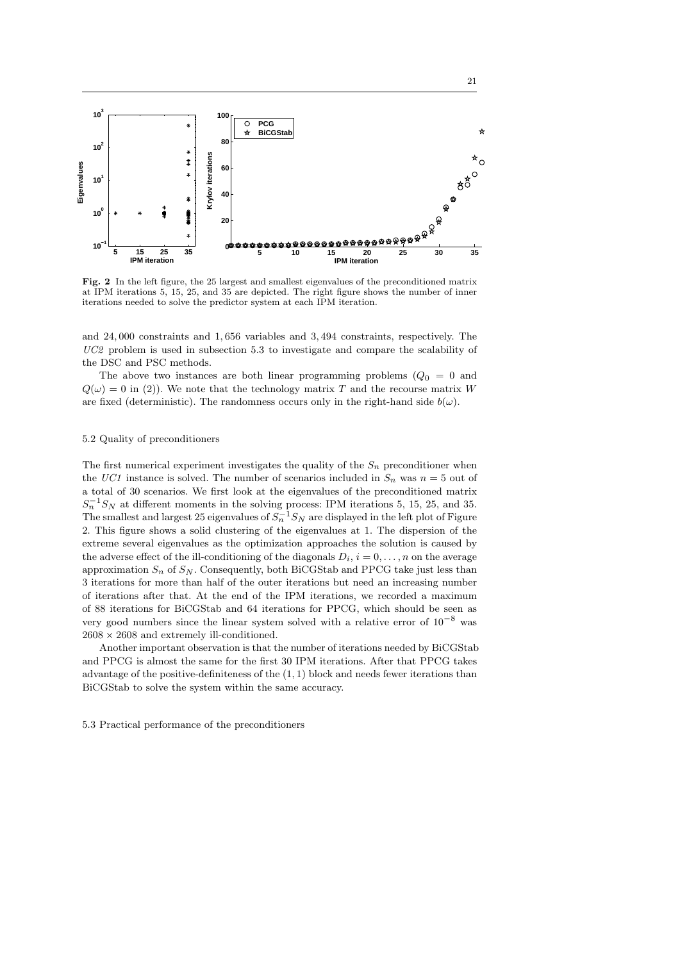

Fig. 2 In the left figure, the 25 largest and smallest eigenvalues of the preconditioned matrix at IPM iterations 5, 15, 25, and 35 are depicted. The right figure shows the number of inner iterations needed to solve the predictor system at each IPM iteration.

and 24, 000 constraints and 1, 656 variables and 3, 494 constraints, respectively. The UC2 problem is used in subsection 5.3 to investigate and compare the scalability of the DSC and PSC methods.

The above two instances are both linear programming problems  $(Q_0 = 0$  and  $Q(\omega) = 0$  in (2)). We note that the technology matrix T and the recourse matrix W are fixed (deterministic). The randomness occurs only in the right-hand side  $b(\omega)$ .

## 5.2 Quality of preconditioners

The first numerical experiment investigates the quality of the  $S_n$  preconditioner when the UC1 instance is solved. The number of scenarios included in  $S_n$  was  $n = 5$  out of a total of 30 scenarios. We first look at the eigenvalues of the preconditioned matrix  $S_n^{-1}S_N$  at different moments in the solving process: IPM iterations 5, 15, 25, and 35. The smallest and largest 25 eigenvalues of  $S_n^{-1}S_N$  are displayed in the left plot of Figure 2. This figure shows a solid clustering of the eigenvalues at 1. The dispersion of the extreme several eigenvalues as the optimization approaches the solution is caused by the adverse effect of the ill-conditioning of the diagonals  $D_i$ ,  $i = 0, \ldots, n$  on the average approximation  $S_n$  of  $S_N$ . Consequently, both BiCGStab and PPCG take just less than 3 iterations for more than half of the outer iterations but need an increasing number of iterations after that. At the end of the IPM iterations, we recorded a maximum of 88 iterations for BiCGStab and 64 iterations for PPCG, which should be seen as very good numbers since the linear system solved with a relative error of  $10^{-8}$  was  $2608 \times 2608$  and extremely ill-conditioned.

Another important observation is that the number of iterations needed by BiCGStab and PPCG is almost the same for the first 30 IPM iterations. After that PPCG takes advantage of the positive-definiteness of the  $(1, 1)$  block and needs fewer iterations than BiCGStab to solve the system within the same accuracy.

5.3 Practical performance of the preconditioners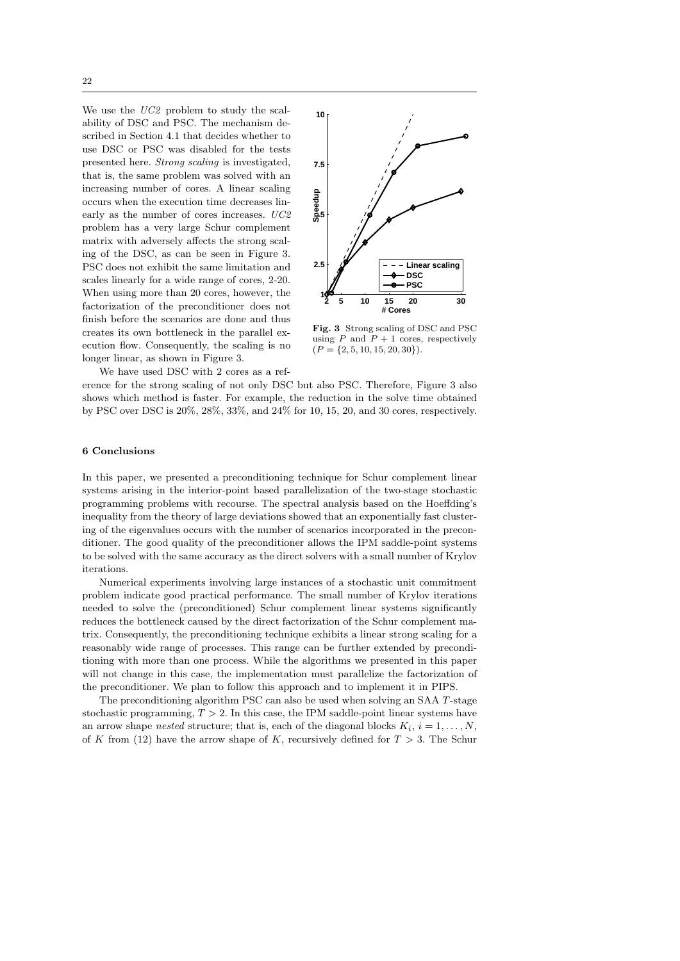22

We use the  $UC2$  problem to study the scalability of DSC and PSC. The mechanism described in Section 4.1 that decides whether to use DSC or PSC was disabled for the tests presented here. Strong scaling is investigated, that is, the same problem was solved with an increasing number of cores. A linear scaling occurs when the execution time decreases linearly as the number of cores increases. UC2 problem has a very large Schur complement matrix with adversely affects the strong scaling of the DSC, as can be seen in Figure 3. PSC does not exhibit the same limitation and scales linearly for a wide range of cores, 2-20. When using more than 20 cores, however, the factorization of the preconditioner does not finish before the scenarios are done and thus creates its own bottleneck in the parallel execution flow. Consequently, the scaling is no longer linear, as shown in Figure 3.



Fig. 3 Strong scaling of DSC and PSC using  $P$  and  $P + 1$  cores, respectively  $(P = \{2, 5, 10, 15, 20, 30\}).$ 

We have used DSC with 2 cores as a ref-

erence for the strong scaling of not only DSC but also PSC. Therefore, Figure 3 also shows which method is faster. For example, the reduction in the solve time obtained by PSC over DSC is 20%, 28%, 33%, and 24% for 10, 15, 20, and 30 cores, respectively.

## 6 Conclusions

In this paper, we presented a preconditioning technique for Schur complement linear systems arising in the interior-point based parallelization of the two-stage stochastic programming problems with recourse. The spectral analysis based on the Hoeffding's inequality from the theory of large deviations showed that an exponentially fast clustering of the eigenvalues occurs with the number of scenarios incorporated in the preconditioner. The good quality of the preconditioner allows the IPM saddle-point systems to be solved with the same accuracy as the direct solvers with a small number of Krylov iterations.

Numerical experiments involving large instances of a stochastic unit commitment problem indicate good practical performance. The small number of Krylov iterations needed to solve the (preconditioned) Schur complement linear systems significantly reduces the bottleneck caused by the direct factorization of the Schur complement matrix. Consequently, the preconditioning technique exhibits a linear strong scaling for a reasonably wide range of processes. This range can be further extended by preconditioning with more than one process. While the algorithms we presented in this paper will not change in this case, the implementation must parallelize the factorization of the preconditioner. We plan to follow this approach and to implement it in PIPS.

The preconditioning algorithm PSC can also be used when solving an SAA T-stage stochastic programming,  $T > 2$ . In this case, the IPM saddle-point linear systems have an arrow shape *nested* structure; that is, each of the diagonal blocks  $K_i$ ,  $i = 1, ..., N$ , of K from (12) have the arrow shape of K, recursively defined for  $T > 3$ . The Schur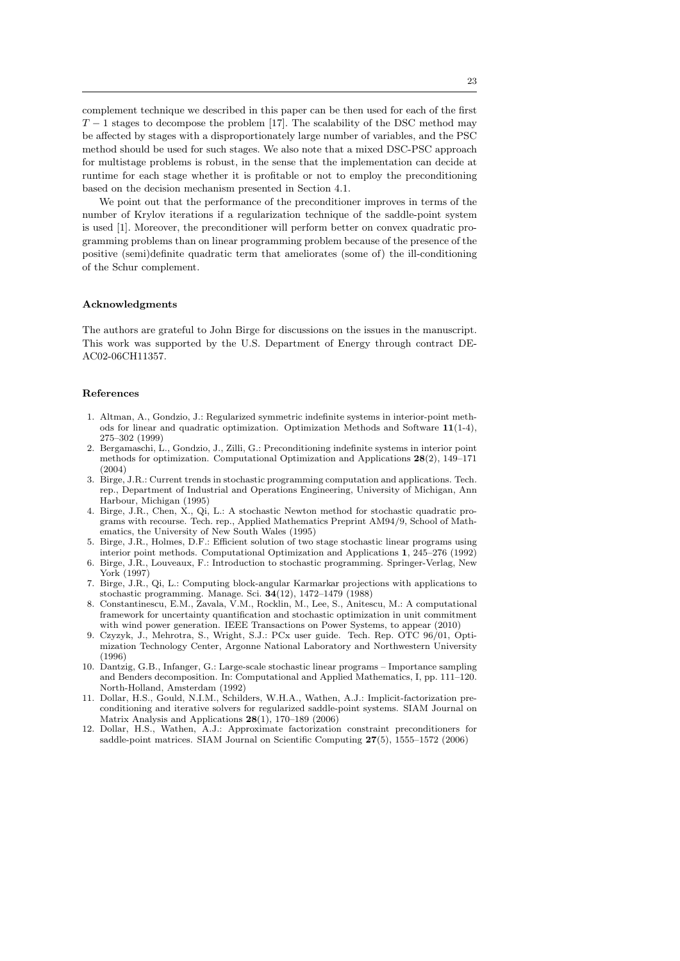complement technique we described in this paper can be then used for each of the first  $T-1$  stages to decompose the problem [17]. The scalability of the DSC method may be affected by stages with a disproportionately large number of variables, and the PSC method should be used for such stages. We also note that a mixed DSC-PSC approach for multistage problems is robust, in the sense that the implementation can decide at runtime for each stage whether it is profitable or not to employ the preconditioning based on the decision mechanism presented in Section 4.1.

We point out that the performance of the preconditioner improves in terms of the number of Krylov iterations if a regularization technique of the saddle-point system is used [1]. Moreover, the preconditioner will perform better on convex quadratic programming problems than on linear programming problem because of the presence of the positive (semi)definite quadratic term that ameliorates (some of) the ill-conditioning of the Schur complement.

## Acknowledgments

The authors are grateful to John Birge for discussions on the issues in the manuscript. This work was supported by the U.S. Department of Energy through contract DE-AC02-06CH11357.

# References

- 1. Altman, A., Gondzio, J.: Regularized symmetric indefinite systems in interior-point methods for linear and quadratic optimization. Optimization Methods and Software 11(1-4), 275–302 (1999)
- 2. Bergamaschi, L., Gondzio, J., Zilli, G.: Preconditioning indefinite systems in interior point methods for optimization. Computational Optimization and Applications  $28(2)$ , 149–171 (2004)
- 3. Birge, J.R.: Current trends in stochastic programming computation and applications. Tech. rep., Department of Industrial and Operations Engineering, University of Michigan, Ann Harbour, Michigan (1995)
- 4. Birge, J.R., Chen, X., Qi, L.: A stochastic Newton method for stochastic quadratic programs with recourse. Tech. rep., Applied Mathematics Preprint AM94/9, School of Mathematics, the University of New South Wales (1995)
- 5. Birge, J.R., Holmes, D.F.: Efficient solution of two stage stochastic linear programs using interior point methods. Computational Optimization and Applications 1, 245–276 (1992) 6. Birge, J.R., Louveaux, F.: Introduction to stochastic programming. Springer-Verlag, New
- York (1997)
- 7. Birge, J.R., Qi, L.: Computing block-angular Karmarkar projections with applications to stochastic programming. Manage. Sci. 34(12), 1472–1479 (1988)
- 8. Constantinescu, E.M., Zavala, V.M., Rocklin, M., Lee, S., Anitescu, M.: A computational framework for uncertainty quantification and stochastic optimization in unit commitment with wind power generation. IEEE Transactions on Power Systems, to appear (2010)
- 9. Czyzyk, J., Mehrotra, S., Wright, S.J.: PCx user guide. Tech. Rep. OTC 96/01, Optimization Technology Center, Argonne National Laboratory and Northwestern University (1996)
- 10. Dantzig, G.B., Infanger, G.: Large-scale stochastic linear programs Importance sampling and Benders decomposition. In: Computational and Applied Mathematics, I, pp. 111–120. North-Holland, Amsterdam (1992)
- 11. Dollar, H.S., Gould, N.I.M., Schilders, W.H.A., Wathen, A.J.: Implicit-factorization preconditioning and iterative solvers for regularized saddle-point systems. SIAM Journal on Matrix Analysis and Applications 28(1), 170–189 (2006)
- 12. Dollar, H.S., Wathen, A.J.: Approximate factorization constraint preconditioners for saddle-point matrices. SIAM Journal on Scientific Computing 27(5), 1555–1572 (2006)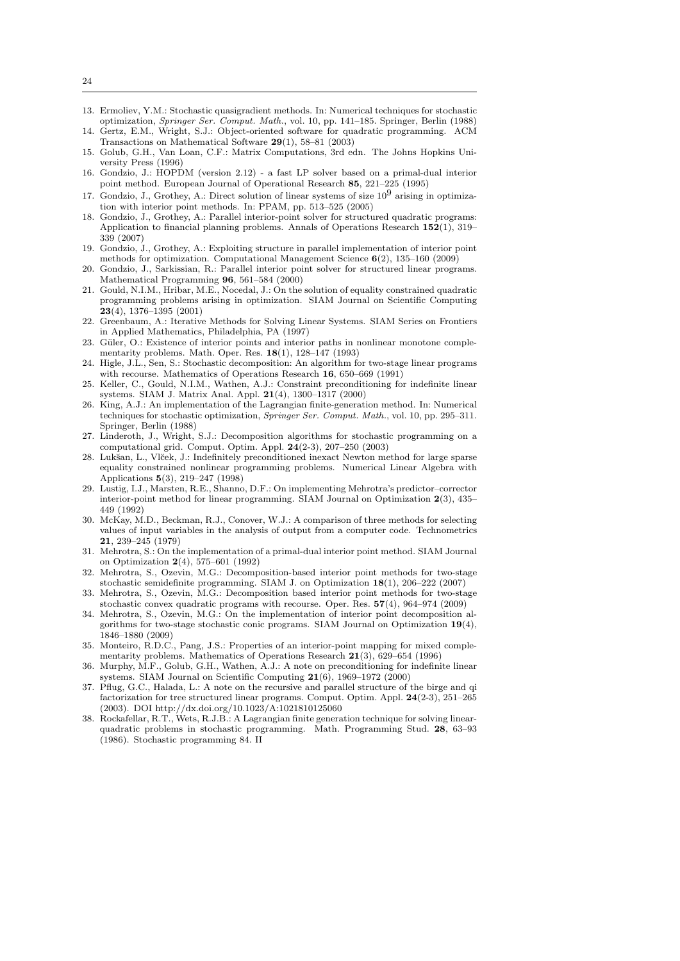- 13. Ermoliev, Y.M.: Stochastic quasigradient methods. In: Numerical techniques for stochastic optimization, Springer Ser. Comput. Math., vol. 10, pp. 141–185. Springer, Berlin (1988)
- 14. Gertz, E.M., Wright, S.J.: Object-oriented software for quadratic programming. ACM Transactions on Mathematical Software 29(1), 58–81 (2003)
- 15. Golub, G.H., Van Loan, C.F.: Matrix Computations, 3rd edn. The Johns Hopkins University Press (1996)
- 16. Gondzio, J.: HOPDM (version 2.12) a fast LP solver based on a primal-dual interior point method. European Journal of Operational Research 85, 221–225 (1995)
- 17. Gondzio, J., Grothey, A.: Direct solution of linear systems of size  $10^9$  arising in optimization with interior point methods. In: PPAM, pp. 513–525 (2005)
- 18. Gondzio, J., Grothey, A.: Parallel interior-point solver for structured quadratic programs: Application to financial planning problems. Annals of Operations Research  $152(1)$ ,  $319-$ 339 (2007)
- 19. Gondzio, J., Grothey, A.: Exploiting structure in parallel implementation of interior point methods for optimization. Computational Management Science 6(2), 135–160 (2009)
- 20. Gondzio, J., Sarkissian, R.: Parallel interior point solver for structured linear programs. Mathematical Programming 96, 561–584 (2000)
- 21. Gould, N.I.M., Hribar, M.E., Nocedal, J.: On the solution of equality constrained quadratic programming problems arising in optimization. SIAM Journal on Scientific Computing 23(4), 1376–1395 (2001)
- 22. Greenbaum, A.: Iterative Methods for Solving Linear Systems. SIAM Series on Frontiers in Applied Mathematics, Philadelphia, PA (1997)
- 23. Güler, O.: Existence of interior points and interior paths in nonlinear monotone complementarity problems. Math. Oper. Res. 18(1), 128–147 (1993)
- 24. Higle, J.L., Sen, S.: Stochastic decomposition: An algorithm for two-stage linear programs with recourse. Mathematics of Operations Research 16, 650–669 (1991)
- 25. Keller, C., Gould, N.I.M., Wathen, A.J.: Constraint preconditioning for indefinite linear systems. SIAM J. Matrix Anal. Appl. 21(4), 1300–1317 (2000)
- 26. King, A.J.: An implementation of the Lagrangian finite-generation method. In: Numerical techniques for stochastic optimization, Springer Ser. Comput. Math., vol. 10, pp. 295–311. Springer, Berlin (1988)
- 27. Linderoth, J., Wright, S.J.: Decomposition algorithms for stochastic programming on a computational grid. Comput. Optim. Appl. 24(2-3), 207–250 (2003)
- 28. Luk˘san, L., Vl˘cek, J.: Indefinitely preconditioned inexact Newton method for large sparse equality constrained nonlinear programming problems. Numerical Linear Algebra with Applications 5(3), 219–247 (1998)
- 29. Lustig, I.J., Marsten, R.E., Shanno, D.F.: On implementing Mehrotra's predictor–corrector interior-point method for linear programming. SIAM Journal on Optimization 2(3), 435– 449 (1992)
- 30. McKay, M.D., Beckman, R.J., Conover, W.J.: A comparison of three methods for selecting values of input variables in the analysis of output from a computer code. Technometrics 21, 239–245 (1979)
- 31. Mehrotra, S.: On the implementation of a primal-dual interior point method. SIAM Journal on Optimization 2(4), 575–601 (1992)
- 32. Mehrotra, S., Ozevin, M.G.: Decomposition-based interior point methods for two-stage stochastic semidefinite programming. SIAM J. on Optimization 18(1), 206–222 (2007)
- 33. Mehrotra, S., Ozevin, M.G.: Decomposition based interior point methods for two-stage stochastic convex quadratic programs with recourse. Oper. Res. 57(4), 964–974 (2009)
- 34. Mehrotra, S., Ozevin, M.G.: On the implementation of interior point decomposition algorithms for two-stage stochastic conic programs. SIAM Journal on Optimization 19(4), 1846–1880 (2009)
- 35. Monteiro, R.D.C., Pang, J.S.: Properties of an interior-point mapping for mixed complementarity problems. Mathematics of Operations Research 21(3), 629–654 (1996)
- 36. Murphy, M.F., Golub, G.H., Wathen, A.J.: A note on preconditioning for indefinite linear systems. SIAM Journal on Scientific Computing  $21(6)$ , 1969–1972 (2000)
- 37. Pflug, G.C., Halada, L.: A note on the recursive and parallel structure of the birge and qi factorization for tree structured linear programs. Comput. Optim. Appl. 24(2-3), 251–265 (2003). DOI http://dx.doi.org/10.1023/A:1021810125060
- 38. Rockafellar, R.T., Wets, R.J.B.: A Lagrangian finite generation technique for solving linearquadratic problems in stochastic programming. Math. Programming Stud. 28, 63–93 (1986). Stochastic programming 84. II